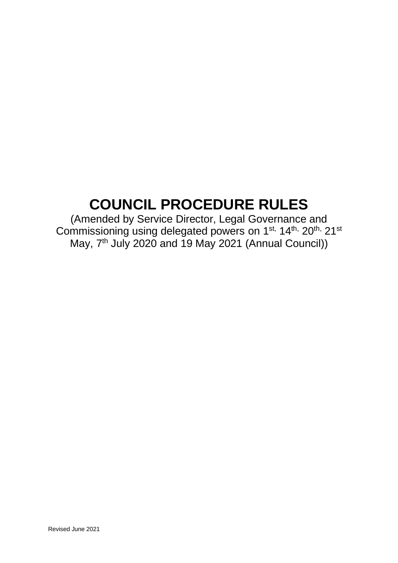# **COUNCIL PROCEDURE RULES**

(Amended by Service Director, Legal Governance and Commissioning using delegated powers on 1<sup>st,</sup> 14<sup>th,</sup> 20<sup>th,</sup> 21<sup>st</sup> May, 7<sup>th</sup> July 2020 and 19 May 2021 (Annual Council))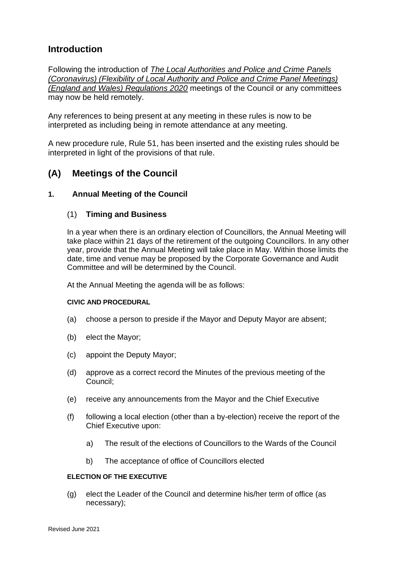# **Introduction**

Following the introduction of *[The Local Authorities and Police and Crime Panels](https://nalc.us12.list-manage.com/track/click?u=16886b5d6c31eade2f9a50027&id=ca490934c3&e=ffbbe5bb62)  [\(Coronavirus\) \(Flexibility of Local Authority and Police and Crime Panel Meetings\)](https://nalc.us12.list-manage.com/track/click?u=16886b5d6c31eade2f9a50027&id=ca490934c3&e=ffbbe5bb62)  [\(England and Wales\) Regulations 2020](https://nalc.us12.list-manage.com/track/click?u=16886b5d6c31eade2f9a50027&id=ca490934c3&e=ffbbe5bb62)* meetings of the Council or any committees may now be held remotely.

Any references to being present at any meeting in these rules is now to be interpreted as including being in remote attendance at any meeting.

A new procedure rule, Rule 51, has been inserted and the existing rules should be interpreted in light of the provisions of that rule.

# **(A) Meetings of the Council**

## **1. Annual Meeting of the Council**

## (1) **Timing and Business**

In a year when there is an ordinary election of Councillors, the Annual Meeting will take place within 21 days of the retirement of the outgoing Councillors. In any other year, provide that the Annual Meeting will take place in May. Within those limits the date, time and venue may be proposed by the Corporate Governance and Audit Committee and will be determined by the Council.

At the Annual Meeting the agenda will be as follows:

#### **CIVIC AND PROCEDURAL**

- (a) choose a person to preside if the Mayor and Deputy Mayor are absent;
- (b) elect the Mayor;
- (c) appoint the Deputy Mayor;
- (d) approve as a correct record the Minutes of the previous meeting of the Council;
- (e) receive any announcements from the Mayor and the Chief Executive
- (f) following a local election (other than a by-election) receive the report of the Chief Executive upon:
	- a) The result of the elections of Councillors to the Wards of the Council
	- b) The acceptance of office of Councillors elected

#### **ELECTION OF THE EXECUTIVE**

(g) elect the Leader of the Council and determine his/her term of office (as necessary);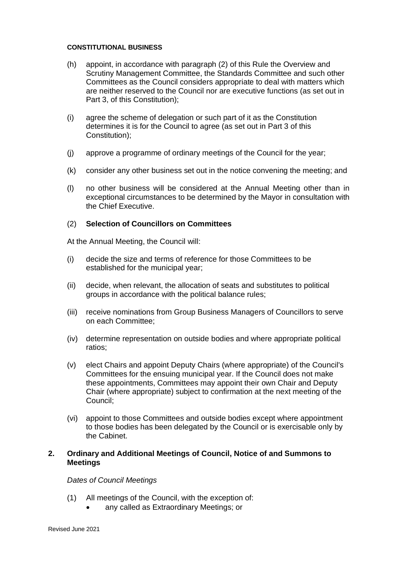#### **CONSTITUTIONAL BUSINESS**

- (h) appoint, in accordance with paragraph (2) of this Rule the Overview and Scrutiny Management Committee, the Standards Committee and such other Committees as the Council considers appropriate to deal with matters which are neither reserved to the Council nor are executive functions (as set out in Part 3, of this Constitution);
- (i) agree the scheme of delegation or such part of it as the Constitution determines it is for the Council to agree (as set out in Part 3 of this Constitution);
- (j) approve a programme of ordinary meetings of the Council for the year;
- (k) consider any other business set out in the notice convening the meeting; and
- (l) no other business will be considered at the Annual Meeting other than in exceptional circumstances to be determined by the Mayor in consultation with the Chief Executive.

## (2) **Selection of Councillors on Committees**

At the Annual Meeting, the Council will:

- (i) decide the size and terms of reference for those Committees to be established for the municipal year;
- (ii) decide, when relevant, the allocation of seats and substitutes to political groups in accordance with the political balance rules;
- (iii) receive nominations from Group Business Managers of Councillors to serve on each Committee;
- (iv) determine representation on outside bodies and where appropriate political ratios;
- (v) elect Chairs and appoint Deputy Chairs (where appropriate) of the Council's Committees for the ensuing municipal year. If the Council does not make these appointments, Committees may appoint their own Chair and Deputy Chair (where appropriate) subject to confirmation at the next meeting of the Council;
- (vi) appoint to those Committees and outside bodies except where appointment to those bodies has been delegated by the Council or is exercisable only by the Cabinet.

## **2. Ordinary and Additional Meetings of Council, Notice of and Summons to Meetings**

## *Dates of Council Meetings*

- (1) All meetings of the Council, with the exception of:
	- any called as Extraordinary Meetings; or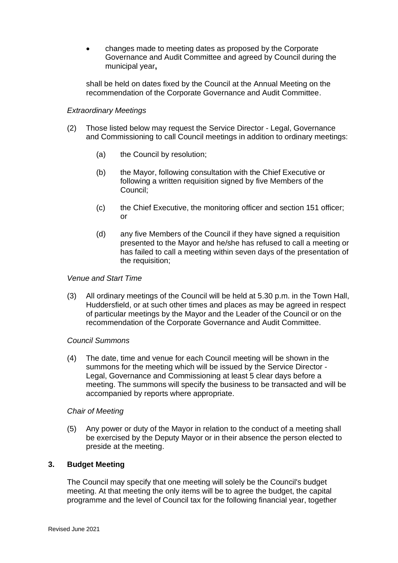• changes made to meeting dates as proposed by the Corporate Governance and Audit Committee and agreed by Council during the municipal year**,**

shall be held on dates fixed by the Council at the Annual Meeting on the recommendation of the Corporate Governance and Audit Committee.

## *Extraordinary Meetings*

- (2) Those listed below may request the Service Director Legal, Governance and Commissioning to call Council meetings in addition to ordinary meetings:
	- (a) the Council by resolution;
	- (b) the Mayor, following consultation with the Chief Executive or following a written requisition signed by five Members of the Council;
	- (c) the Chief Executive, the monitoring officer and section 151 officer; or
	- (d) any five Members of the Council if they have signed a requisition presented to the Mayor and he/she has refused to call a meeting or has failed to call a meeting within seven days of the presentation of the requisition;

## *Venue and Start Time*

(3) All ordinary meetings of the Council will be held at 5.30 p.m. in the Town Hall, Huddersfield, or at such other times and places as may be agreed in respect of particular meetings by the Mayor and the Leader of the Council or on the recommendation of the Corporate Governance and Audit Committee.

## *Council Summons*

(4) The date, time and venue for each Council meeting will be shown in the summons for the meeting which will be issued by the Service Director - Legal, Governance and Commissioning at least 5 clear days before a meeting. The summons will specify the business to be transacted and will be accompanied by reports where appropriate.

## *Chair of Meeting*

(5) Any power or duty of the Mayor in relation to the conduct of a meeting shall be exercised by the Deputy Mayor or in their absence the person elected to preside at the meeting.

## **3. Budget Meeting**

The Council may specify that one meeting will solely be the Council's budget meeting. At that meeting the only items will be to agree the budget, the capital programme and the level of Council tax for the following financial year, together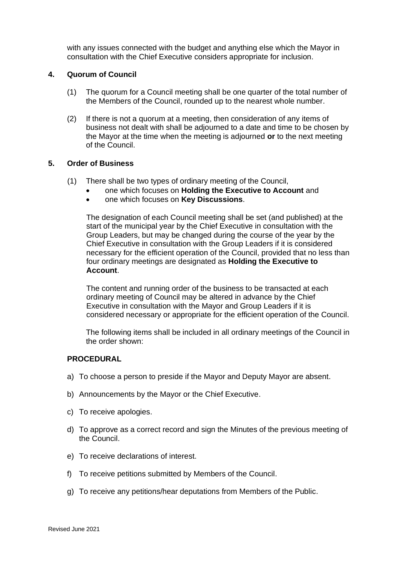with any issues connected with the budget and anything else which the Mayor in consultation with the Chief Executive considers appropriate for inclusion.

## **4. Quorum of Council**

- (1) The quorum for a Council meeting shall be one quarter of the total number of the Members of the Council, rounded up to the nearest whole number.
- (2) If there is not a quorum at a meeting, then consideration of any items of business not dealt with shall be adjourned to a date and time to be chosen by the Mayor at the time when the meeting is adjourned **or** to the next meeting of the Council.

#### **5. Order of Business**

- (1) There shall be two types of ordinary meeting of the Council,
	- one which focuses on **Holding the Executive to Account** and
	- one which focuses on **Key Discussions**.

The designation of each Council meeting shall be set (and published) at the start of the municipal year by the Chief Executive in consultation with the Group Leaders, but may be changed during the course of the year by the Chief Executive in consultation with the Group Leaders if it is considered necessary for the efficient operation of the Council, provided that no less than four ordinary meetings are designated as **Holding the Executive to Account**.

The content and running order of the business to be transacted at each ordinary meeting of Council may be altered in advance by the Chief Executive in consultation with the Mayor and Group Leaders if it is considered necessary or appropriate for the efficient operation of the Council.

The following items shall be included in all ordinary meetings of the Council in the order shown:

#### **PROCEDURAL**

- a) To choose a person to preside if the Mayor and Deputy Mayor are absent.
- b) Announcements by the Mayor or the Chief Executive.
- c) To receive apologies.
- d) To approve as a correct record and sign the Minutes of the previous meeting of the Council.
- e) To receive declarations of interest.
- f) To receive petitions submitted by Members of the Council.
- g) To receive any petitions/hear deputations from Members of the Public.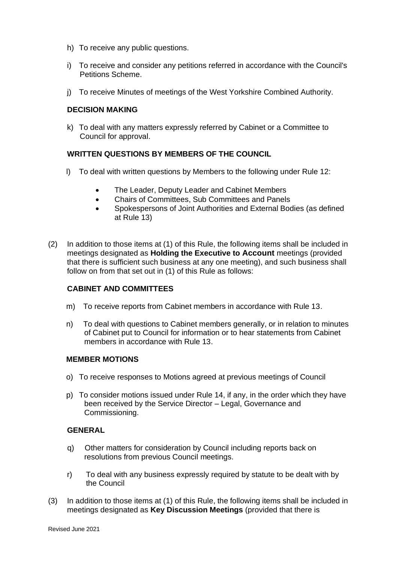- h) To receive any public questions.
- i) To receive and consider any petitions referred in accordance with the Council's Petitions Scheme.
- j) To receive Minutes of meetings of the West Yorkshire Combined Authority.

## **DECISION MAKING**

k) To deal with any matters expressly referred by Cabinet or a Committee to Council for approval.

## **WRITTEN QUESTIONS BY MEMBERS OF THE COUNCIL**

- l) To deal with written questions by Members to the following under Rule 12:
	- The Leader, Deputy Leader and Cabinet Members
	- Chairs of Committees, Sub Committees and Panels
	- Spokespersons of Joint Authorities and External Bodies (as defined at Rule 13)
- (2) In addition to those items at (1) of this Rule, the following items shall be included in meetings designated as **Holding the Executive to Account** meetings (provided that there is sufficient such business at any one meeting), and such business shall follow on from that set out in (1) of this Rule as follows:

## **CABINET AND COMMITTEES**

- m) To receive reports from Cabinet members in accordance with Rule 13.
- n) To deal with questions to Cabinet members generally, or in relation to minutes of Cabinet put to Council for information or to hear statements from Cabinet members in accordance with Rule 13.

## **MEMBER MOTIONS**

- o) To receive responses to Motions agreed at previous meetings of Council
- p) To consider motions issued under Rule 14, if any, in the order which they have been received by the Service Director – Legal, Governance and Commissioning.

## **GENERAL**

- q) Other matters for consideration by Council including reports back on resolutions from previous Council meetings.
- r) To deal with any business expressly required by statute to be dealt with by the Council
- (3) In addition to those items at (1) of this Rule, the following items shall be included in meetings designated as **Key Discussion Meetings** (provided that there is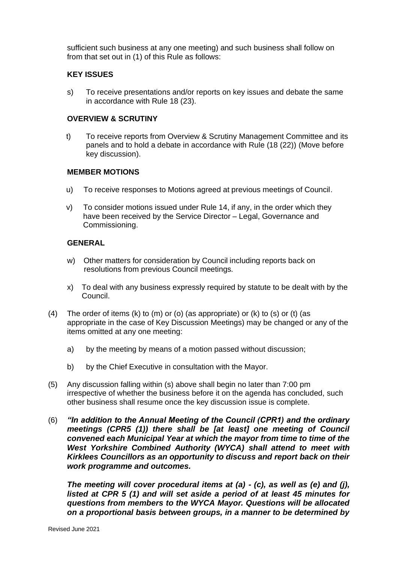sufficient such business at any one meeting) and such business shall follow on from that set out in (1) of this Rule as follows:

#### **KEY ISSUES**

s) To receive presentations and/or reports on key issues and debate the same in accordance with Rule 18 (23).

#### **OVERVIEW & SCRUTINY**

t) To receive reports from Overview & Scrutiny Management Committee and its panels and to hold a debate in accordance with Rule (18 (22)) (Move before key discussion).

#### **MEMBER MOTIONS**

- u) To receive responses to Motions agreed at previous meetings of Council.
- v) To consider motions issued under Rule 14, if any, in the order which they have been received by the Service Director – Legal, Governance and Commissioning.

#### **GENERAL**

- w) Other matters for consideration by Council including reports back on resolutions from previous Council meetings.
- x) To deal with any business expressly required by statute to be dealt with by the Council.
- (4) The order of items (k) to  $(m)$  or (o) (as appropriate) or (k) to (s) or (t) (as appropriate in the case of Key Discussion Meetings) may be changed or any of the items omitted at any one meeting:
	- a) by the meeting by means of a motion passed without discussion;
	- b) by the Chief Executive in consultation with the Mayor.
- (5) Any discussion falling within (s) above shall begin no later than 7:00 pm irrespective of whether the business before it on the agenda has concluded, such other business shall resume once the key discussion issue is complete.
- (6) *"In addition to the Annual Meeting of the Council (CPR1) and the ordinary meetings (CPR5 (1)) there shall be [at least] one meeting of Council convened each Municipal Year at which the mayor from time to time of the West Yorkshire Combined Authority (WYCA) shall attend to meet with Kirklees Councillors as an opportunity to discuss and report back on their work programme and outcomes.*

*The meeting will cover procedural items at (a) - (c), as well as (e) and (j), listed at CPR 5 (1) and will set aside a period of at least 45 minutes for questions from members to the WYCA Mayor. Questions will be allocated on a proportional basis between groups, in a manner to be determined by*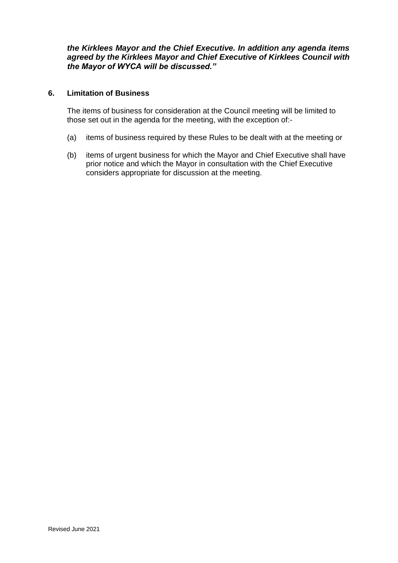*the Kirklees Mayor and the Chief Executive. In addition any agenda items agreed by the Kirklees Mayor and Chief Executive of Kirklees Council with the Mayor of WYCA will be discussed."*

## **6. Limitation of Business**

The items of business for consideration at the Council meeting will be limited to those set out in the agenda for the meeting, with the exception of:-

- (a) items of business required by these Rules to be dealt with at the meeting or
- (b) items of urgent business for which the Mayor and Chief Executive shall have prior notice and which the Mayor in consultation with the Chief Executive considers appropriate for discussion at the meeting.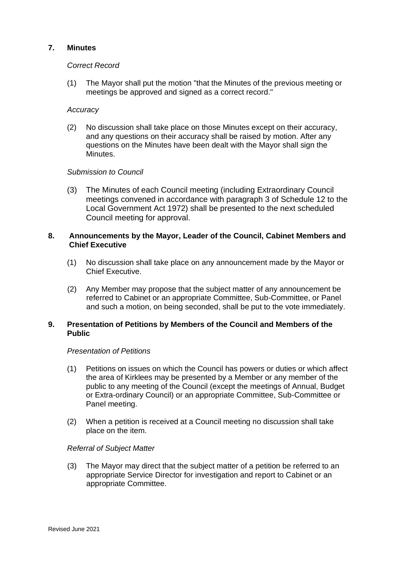## **7. Minutes**

#### *Correct Record*

(1) The Mayor shall put the motion "that the Minutes of the previous meeting or meetings be approved and signed as a correct record."

#### *Accuracy*

(2) No discussion shall take place on those Minutes except on their accuracy, and any questions on their accuracy shall be raised by motion. After any questions on the Minutes have been dealt with the Mayor shall sign the Minutes.

## *Submission to Council*

(3) The Minutes of each Council meeting (including Extraordinary Council meetings convened in accordance with paragraph 3 of Schedule 12 to the Local Government Act 1972) shall be presented to the next scheduled Council meeting for approval.

## **8. Announcements by the Mayor, Leader of the Council, Cabinet Members and Chief Executive**

- (1) No discussion shall take place on any announcement made by the Mayor or Chief Executive.
- (2) Any Member may propose that the subject matter of any announcement be referred to Cabinet or an appropriate Committee, Sub-Committee, or Panel and such a motion, on being seconded, shall be put to the vote immediately.

## **9. Presentation of Petitions by Members of the Council and Members of the Public**

#### *Presentation of Petitions*

- (1) Petitions on issues on which the Council has powers or duties or which affect the area of Kirklees may be presented by a Member or any member of the public to any meeting of the Council (except the meetings of Annual, Budget or Extra-ordinary Council) or an appropriate Committee, Sub-Committee or Panel meeting.
- (2) When a petition is received at a Council meeting no discussion shall take place on the item.

## *Referral of Subject Matter*

(3) The Mayor may direct that the subject matter of a petition be referred to an appropriate Service Director for investigation and report to Cabinet or an appropriate Committee.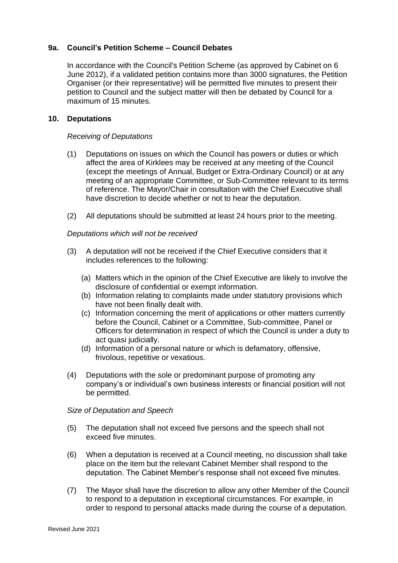## **9a. Council's Petition Scheme – Council Debates**

In accordance with the Council's Petition Scheme (as approved by Cabinet on 6 June 2012), if a validated petition contains more than 3000 signatures, the Petition Organiser (or their representative) will be permitted five minutes to present their petition to Council and the subject matter will then be debated by Council for a maximum of 15 minutes.

#### **10. Deputations**

#### *Receiving of Deputations*

- (1) Deputations on issues on which the Council has powers or duties or which affect the area of Kirklees may be received at any meeting of the Council (except the meetings of Annual, Budget or Extra-Ordinary Council) or at any meeting of an appropriate Committee, or Sub-Committee relevant to its terms of reference. The Mayor/Chair in consultation with the Chief Executive shall have discretion to decide whether or not to hear the deputation.
- (2) All deputations should be submitted at least 24 hours prior to the meeting.

#### *Deputations which will not be received*

- (3) A deputation will not be received if the Chief Executive considers that it includes references to the following:
	- (a) Matters which in the opinion of the Chief Executive are likely to involve the disclosure of confidential or exempt information.
	- (b) Information relating to complaints made under statutory provisions which have not been finally dealt with.
	- (c) Information concerning the merit of applications or other matters currently before the Council, Cabinet or a Committee, Sub-committee, Panel or Officers for determination in respect of which the Council is under a duty to act quasi judicially.
	- (d) Information of a personal nature or which is defamatory, offensive, frivolous, repetitive or vexatious.
- (4) Deputations with the sole or predominant purpose of promoting any company's or individual's own business interests or financial position will not be permitted.

#### *Size of Deputation and Speech*

- (5) The deputation shall not exceed five persons and the speech shall not exceed five minutes.
- (6) When a deputation is received at a Council meeting, no discussion shall take place on the item but the relevant Cabinet Member shall respond to the deputation. The Cabinet Member's response shall not exceed five minutes.
- (7) The Mayor shall have the discretion to allow any other Member of the Council to respond to a deputation in exceptional circumstances. For example, in order to respond to personal attacks made during the course of a deputation.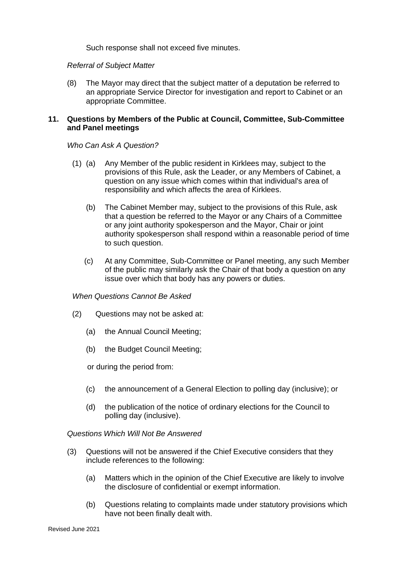Such response shall not exceed five minutes.

#### *Referral of Subject Matter*

(8) The Mayor may direct that the subject matter of a deputation be referred to an appropriate Service Director for investigation and report to Cabinet or an appropriate Committee.

## **11. Questions by Members of the Public at Council, Committee, Sub-Committee and Panel meetings**

#### *Who Can Ask A Question?*

- (1) (a) Any Member of the public resident in Kirklees may, subject to the provisions of this Rule, ask the Leader, or any Members of Cabinet, a question on any issue which comes within that individual's area of responsibility and which affects the area of Kirklees.
	- (b) The Cabinet Member may, subject to the provisions of this Rule, ask that a question be referred to the Mayor or any Chairs of a Committee or any joint authority spokesperson and the Mayor, Chair or joint authority spokesperson shall respond within a reasonable period of time to such question.
	- (c) At any Committee, Sub-Committee or Panel meeting, any such Member of the public may similarly ask the Chair of that body a question on any issue over which that body has any powers or duties.

## *When Questions Cannot Be Asked*

- (2) Questions may not be asked at:
	- (a) the Annual Council Meeting;
	- (b) the Budget Council Meeting;

or during the period from:

- (c) the announcement of a General Election to polling day (inclusive); or
- (d) the publication of the notice of ordinary elections for the Council to polling day (inclusive).

#### *Questions Which Will Not Be Answered*

- (3) Questions will not be answered if the Chief Executive considers that they include references to the following:
	- (a) Matters which in the opinion of the Chief Executive are likely to involve the disclosure of confidential or exempt information.
	- (b) Questions relating to complaints made under statutory provisions which have not been finally dealt with.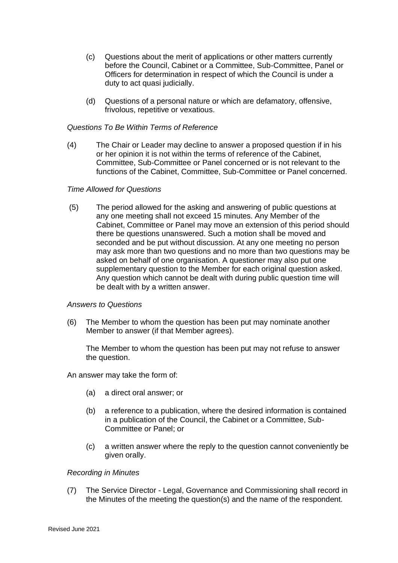- (c) Questions about the merit of applications or other matters currently before the Council, Cabinet or a Committee, Sub-Committee, Panel or Officers for determination in respect of which the Council is under a duty to act quasi judicially.
- (d) Questions of a personal nature or which are defamatory, offensive, frivolous, repetitive or vexatious.

## *Questions To Be Within Terms of Reference*

(4) The Chair or Leader may decline to answer a proposed question if in his or her opinion it is not within the terms of reference of the Cabinet, Committee, Sub-Committee or Panel concerned or is not relevant to the functions of the Cabinet, Committee, Sub-Committee or Panel concerned.

#### *Time Allowed for Questions*

(5) The period allowed for the asking and answering of public questions at any one meeting shall not exceed 15 minutes. Any Member of the Cabinet, Committee or Panel may move an extension of this period should there be questions unanswered. Such a motion shall be moved and seconded and be put without discussion. At any one meeting no person may ask more than two questions and no more than two questions may be asked on behalf of one organisation. A questioner may also put one supplementary question to the Member for each original question asked. Any question which cannot be dealt with during public question time will be dealt with by a written answer.

## *Answers to Questions*

(6) The Member to whom the question has been put may nominate another Member to answer (if that Member agrees).

The Member to whom the question has been put may not refuse to answer the question.

An answer may take the form of:

- (a) a direct oral answer; or
- (b) a reference to a publication, where the desired information is contained in a publication of the Council, the Cabinet or a Committee, Sub-Committee or Panel; or
- (c) a written answer where the reply to the question cannot conveniently be given orally.

#### *Recording in Minutes*

(7) The Service Director - Legal, Governance and Commissioning shall record in the Minutes of the meeting the question(s) and the name of the respondent.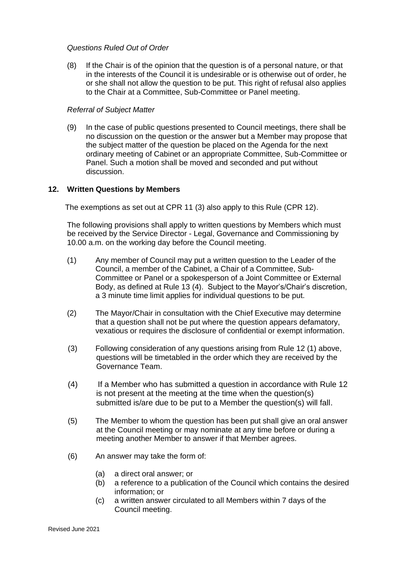## *Questions Ruled Out of Order*

(8) If the Chair is of the opinion that the question is of a personal nature, or that in the interests of the Council it is undesirable or is otherwise out of order, he or she shall not allow the question to be put. This right of refusal also applies to the Chair at a Committee, Sub-Committee or Panel meeting.

## *Referral of Subject Matter*

(9) In the case of public questions presented to Council meetings, there shall be no discussion on the question or the answer but a Member may propose that the subject matter of the question be placed on the Agenda for the next ordinary meeting of Cabinet or an appropriate Committee, Sub-Committee or Panel. Such a motion shall be moved and seconded and put without discussion.

## **12. Written Questions by Members**

The exemptions as set out at CPR 11 (3) also apply to this Rule (CPR 12).

The following provisions shall apply to written questions by Members which must be received by the Service Director - Legal, Governance and Commissioning by 10.00 a.m. on the working day before the Council meeting.

- (1) Any member of Council may put a written question to the Leader of the Council, a member of the Cabinet, a Chair of a Committee, Sub-Committee or Panel or a spokesperson of a Joint Committee or External Body, as defined at Rule 13 (4). Subject to the Mayor's/Chair's discretion, a 3 minute time limit applies for individual questions to be put.
- (2) The Mayor/Chair in consultation with the Chief Executive may determine that a question shall not be put where the question appears defamatory, vexatious or requires the disclosure of confidential or exempt information.
- (3) Following consideration of any questions arising from Rule 12 (1) above, questions will be timetabled in the order which they are received by the Governance Team.
- (4) If a Member who has submitted a question in accordance with Rule 12 is not present at the meeting at the time when the question(s) submitted is/are due to be put to a Member the question(s) will fall.
- (5) The Member to whom the question has been put shall give an oral answer at the Council meeting or may nominate at any time before or during a meeting another Member to answer if that Member agrees.
- (6) An answer may take the form of:
	- (a) a direct oral answer; or
	- (b) a reference to a publication of the Council which contains the desired information; or
	- (c) a written answer circulated to all Members within 7 days of the Council meeting.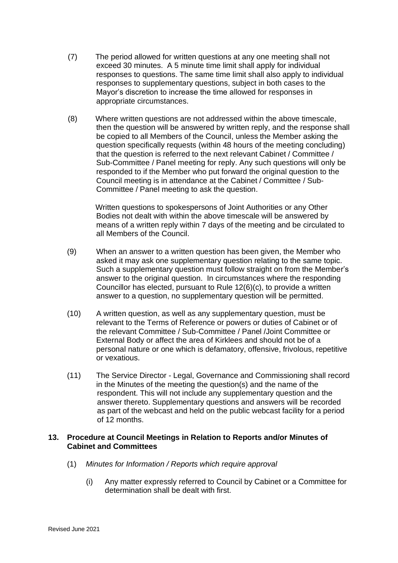- (7) The period allowed for written questions at any one meeting shall not exceed 30 minutes. A 5 minute time limit shall apply for individual responses to questions. The same time limit shall also apply to individual responses to supplementary questions, subject in both cases to the Mayor's discretion to increase the time allowed for responses in appropriate circumstances.
- (8) Where written questions are not addressed within the above timescale, then the question will be answered by written reply, and the response shall be copied to all Members of the Council, unless the Member asking the question specifically requests (within 48 hours of the meeting concluding) that the question is referred to the next relevant Cabinet / Committee / Sub-Committee / Panel meeting for reply. Any such questions will only be responded to if the Member who put forward the original question to the Council meeting is in attendance at the Cabinet / Committee / Sub-Committee / Panel meeting to ask the question.

Written questions to spokespersons of Joint Authorities or any Other Bodies not dealt with within the above timescale will be answered by means of a written reply within 7 days of the meeting and be circulated to all Members of the Council.

- (9) When an answer to a written question has been given, the Member who asked it may ask one supplementary question relating to the same topic. Such a supplementary question must follow straight on from the Member's answer to the original question. In circumstances where the responding Councillor has elected, pursuant to Rule 12(6)(c), to provide a written answer to a question, no supplementary question will be permitted.
- (10) A written question, as well as any supplementary question, must be relevant to the Terms of Reference or powers or duties of Cabinet or of the relevant Committee / Sub-Committee / Panel /Joint Committee or External Body or affect the area of Kirklees and should not be of a personal nature or one which is defamatory, offensive, frivolous, repetitive or vexatious.
- (11) The Service Director Legal, Governance and Commissioning shall record in the Minutes of the meeting the question(s) and the name of the respondent. This will not include any supplementary question and the answer thereto. Supplementary questions and answers will be recorded as part of the webcast and held on the public webcast facility for a period of 12 months.

## **13. Procedure at Council Meetings in Relation to Reports and/or Minutes of Cabinet and Committees**

- (1) *Minutes for Information / Reports which require approval*
	- (i) Any matter expressly referred to Council by Cabinet or a Committee for determination shall be dealt with first.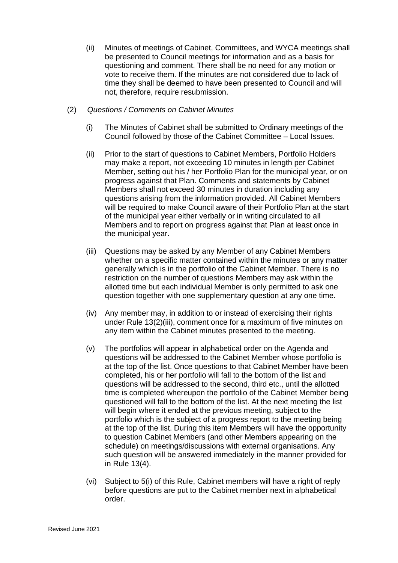(ii) Minutes of meetings of Cabinet, Committees, and WYCA meetings shall be presented to Council meetings for information and as a basis for questioning and comment. There shall be no need for any motion or vote to receive them. If the minutes are not considered due to lack of time they shall be deemed to have been presented to Council and will not, therefore, require resubmission.

## (2) *Questions / Comments on Cabinet Minutes*

- (i) The Minutes of Cabinet shall be submitted to Ordinary meetings of the Council followed by those of the Cabinet Committee – Local Issues.
- (ii) Prior to the start of questions to Cabinet Members, Portfolio Holders may make a report, not exceeding 10 minutes in length per Cabinet Member, setting out his / her Portfolio Plan for the municipal year, or on progress against that Plan. Comments and statements by Cabinet Members shall not exceed 30 minutes in duration including any questions arising from the information provided. All Cabinet Members will be required to make Council aware of their Portfolio Plan at the start of the municipal year either verbally or in writing circulated to all Members and to report on progress against that Plan at least once in the municipal year.
- (iii) Questions may be asked by any Member of any Cabinet Members whether on a specific matter contained within the minutes or any matter generally which is in the portfolio of the Cabinet Member. There is no restriction on the number of questions Members may ask within the allotted time but each individual Member is only permitted to ask one question together with one supplementary question at any one time.
- (iv) Any member may, in addition to or instead of exercising their rights under Rule 13(2)(iii), comment once for a maximum of five minutes on any item within the Cabinet minutes presented to the meeting.
- (v) The portfolios will appear in alphabetical order on the Agenda and questions will be addressed to the Cabinet Member whose portfolio is at the top of the list. Once questions to that Cabinet Member have been completed, his or her portfolio will fall to the bottom of the list and questions will be addressed to the second, third etc., until the allotted time is completed whereupon the portfolio of the Cabinet Member being questioned will fall to the bottom of the list. At the next meeting the list will begin where it ended at the previous meeting, subject to the portfolio which is the subject of a progress report to the meeting being at the top of the list. During this item Members will have the opportunity to question Cabinet Members (and other Members appearing on the schedule) on meetings/discussions with external organisations. Any such question will be answered immediately in the manner provided for in Rule 13(4).
- (vi) Subject to 5(i) of this Rule, Cabinet members will have a right of reply before questions are put to the Cabinet member next in alphabetical order.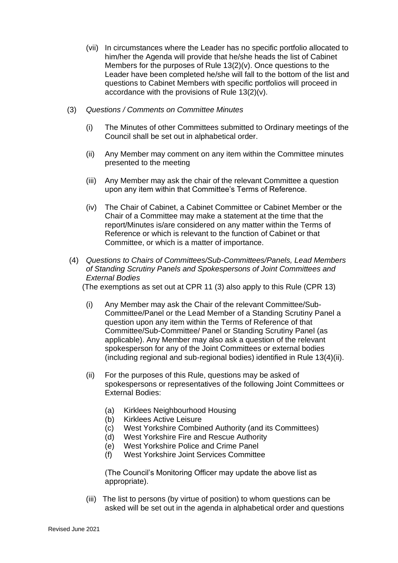- (vii) In circumstances where the Leader has no specific portfolio allocated to him/her the Agenda will provide that he/she heads the list of Cabinet Members for the purposes of Rule 13(2)(v). Once questions to the Leader have been completed he/she will fall to the bottom of the list and questions to Cabinet Members with specific portfolios will proceed in accordance with the provisions of Rule 13(2)(v).
- (3) *Questions / Comments on Committee Minutes*
	- (i) The Minutes of other Committees submitted to Ordinary meetings of the Council shall be set out in alphabetical order.
	- (ii) Any Member may comment on any item within the Committee minutes presented to the meeting
	- (iii) Any Member may ask the chair of the relevant Committee a question upon any item within that Committee's Terms of Reference.
	- (iv) The Chair of Cabinet, a Cabinet Committee or Cabinet Member or the Chair of a Committee may make a statement at the time that the report/Minutes is/are considered on any matter within the Terms of Reference or which is relevant to the function of Cabinet or that Committee, or which is a matter of importance.
- (4) *Questions to Chairs of Committees/Sub-Committees/Panels, Lead Members of Standing Scrutiny Panels and Spokespersons of Joint Committees and External Bodies*

(The exemptions as set out at CPR 11 (3) also apply to this Rule (CPR 13)

- (i) Any Member may ask the Chair of the relevant Committee/Sub-Committee/Panel or the Lead Member of a Standing Scrutiny Panel a question upon any item within the Terms of Reference of that Committee/Sub-Committee/ Panel or Standing Scrutiny Panel (as applicable). Any Member may also ask a question of the relevant spokesperson for any of the Joint Committees or external bodies (including regional and sub-regional bodies) identified in Rule 13(4)(ii).
- (ii) For the purposes of this Rule, questions may be asked of spokespersons or representatives of the following Joint Committees or External Bodies:
	- (a) Kirklees Neighbourhood Housing
	- (b) Kirklees Active Leisure
	- (c) West Yorkshire Combined Authority (and its Committees)
	- (d) West Yorkshire Fire and Rescue Authority
	- (e) West Yorkshire Police and Crime Panel
	- (f) West Yorkshire Joint Services Committee

(The Council's Monitoring Officer may update the above list as appropriate).

(iii) The list to persons (by virtue of position) to whom questions can be asked will be set out in the agenda in alphabetical order and questions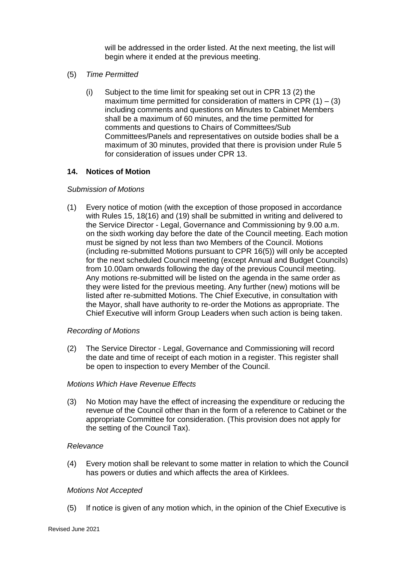will be addressed in the order listed. At the next meeting, the list will begin where it ended at the previous meeting.

- (5) *Time Permitted*
	- (i) Subject to the time limit for speaking set out in CPR 13 (2) the maximum time permitted for consideration of matters in CPR  $(1) - (3)$ including comments and questions on Minutes to Cabinet Members shall be a maximum of 60 minutes, and the time permitted for comments and questions to Chairs of Committees/Sub Committees/Panels and representatives on outside bodies shall be a maximum of 30 minutes, provided that there is provision under Rule 5 for consideration of issues under CPR 13.

## **14. Notices of Motion**

#### *Submission of Motions*

(1) Every notice of motion (with the exception of those proposed in accordance with Rules 15, 18(16) and (19) shall be submitted in writing and delivered to the Service Director - Legal, Governance and Commissioning by 9.00 a.m. on the sixth working day before the date of the Council meeting. Each motion must be signed by not less than two Members of the Council. Motions (including re-submitted Motions pursuant to CPR 16(5)) will only be accepted for the next scheduled Council meeting (except Annual and Budget Councils) from 10.00am onwards following the day of the previous Council meeting. Any motions re-submitted will be listed on the agenda in the same order as they were listed for the previous meeting. Any further (new) motions will be listed after re-submitted Motions. The Chief Executive, in consultation with the Mayor, shall have authority to re-order the Motions as appropriate. The Chief Executive will inform Group Leaders when such action is being taken.

#### *Recording of Motions*

(2) The Service Director - Legal, Governance and Commissioning will record the date and time of receipt of each motion in a register. This register shall be open to inspection to every Member of the Council.

#### *Motions Which Have Revenue Effects*

(3) No Motion may have the effect of increasing the expenditure or reducing the revenue of the Council other than in the form of a reference to Cabinet or the appropriate Committee for consideration. (This provision does not apply for the setting of the Council Tax).

#### *Relevance*

(4) Every motion shall be relevant to some matter in relation to which the Council has powers or duties and which affects the area of Kirklees.

#### *Motions Not Accepted*

(5) If notice is given of any motion which, in the opinion of the Chief Executive is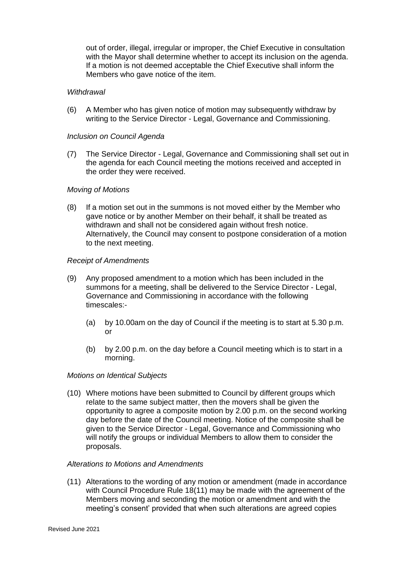out of order, illegal, irregular or improper, the Chief Executive in consultation with the Mayor shall determine whether to accept its inclusion on the agenda. If a motion is not deemed acceptable the Chief Executive shall inform the Members who gave notice of the item.

#### *Withdrawal*

(6) A Member who has given notice of motion may subsequently withdraw by writing to the Service Director - Legal, Governance and Commissioning.

#### *Inclusion on Council Agenda*

(7) The Service Director - Legal, Governance and Commissioning shall set out in the agenda for each Council meeting the motions received and accepted in the order they were received.

#### *Moving of Motions*

(8) If a motion set out in the summons is not moved either by the Member who gave notice or by another Member on their behalf, it shall be treated as withdrawn and shall not be considered again without fresh notice. Alternatively, the Council may consent to postpone consideration of a motion to the next meeting.

#### *Receipt of Amendments*

- (9) Any proposed amendment to a motion which has been included in the summons for a meeting, shall be delivered to the Service Director - Legal, Governance and Commissioning in accordance with the following timescales:-
	- (a) by 10.00am on the day of Council if the meeting is to start at 5.30 p.m. or
	- (b) by 2.00 p.m. on the day before a Council meeting which is to start in a morning.

#### *Motions on Identical Subjects*

(10) Where motions have been submitted to Council by different groups which relate to the same subject matter, then the movers shall be given the opportunity to agree a composite motion by 2.00 p.m. on the second working day before the date of the Council meeting. Notice of the composite shall be given to the Service Director - Legal, Governance and Commissioning who will notify the groups or individual Members to allow them to consider the proposals.

#### *Alterations to Motions and Amendments*

(11) Alterations to the wording of any motion or amendment (made in accordance with Council Procedure Rule 18(11) may be made with the agreement of the Members moving and seconding the motion or amendment and with the meeting's consent' provided that when such alterations are agreed copies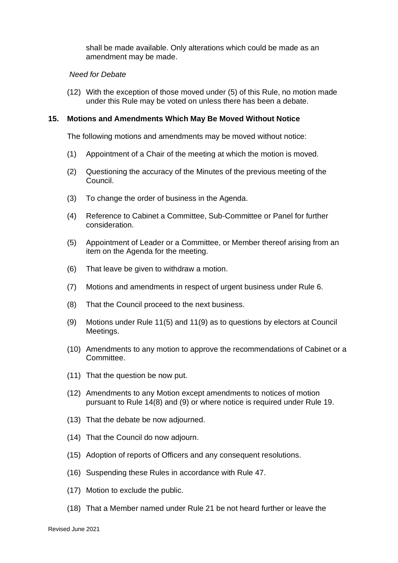shall be made available. Only alterations which could be made as an amendment may be made.

#### *Need for Debate*

(12) With the exception of those moved under (5) of this Rule, no motion made under this Rule may be voted on unless there has been a debate.

#### **15. Motions and Amendments Which May Be Moved Without Notice**

The following motions and amendments may be moved without notice:

- (1) Appointment of a Chair of the meeting at which the motion is moved.
- (2) Questioning the accuracy of the Minutes of the previous meeting of the Council.
- (3) To change the order of business in the Agenda.
- (4) Reference to Cabinet a Committee, Sub-Committee or Panel for further consideration.
- (5) Appointment of Leader or a Committee, or Member thereof arising from an item on the Agenda for the meeting.
- (6) That leave be given to withdraw a motion.
- (7) Motions and amendments in respect of urgent business under Rule 6.
- (8) That the Council proceed to the next business.
- (9) Motions under Rule 11(5) and 11(9) as to questions by electors at Council Meetings.
- (10) Amendments to any motion to approve the recommendations of Cabinet or a Committee.
- (11) That the question be now put.
- (12) Amendments to any Motion except amendments to notices of motion pursuant to Rule 14(8) and (9) or where notice is required under Rule 19.
- (13) That the debate be now adjourned.
- (14) That the Council do now adjourn.
- (15) Adoption of reports of Officers and any consequent resolutions.
- (16) Suspending these Rules in accordance with Rule 47.
- (17) Motion to exclude the public.
- (18) That a Member named under Rule 21 be not heard further or leave the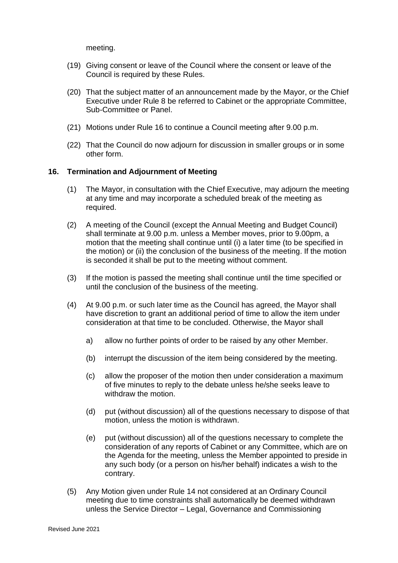meeting.

- (19) Giving consent or leave of the Council where the consent or leave of the Council is required by these Rules.
- (20) That the subject matter of an announcement made by the Mayor, or the Chief Executive under Rule 8 be referred to Cabinet or the appropriate Committee, Sub-Committee or Panel.
- (21) Motions under Rule 16 to continue a Council meeting after 9.00 p.m.
- (22) That the Council do now adjourn for discussion in smaller groups or in some other form.

## **16. Termination and Adjournment of Meeting**

- (1) The Mayor, in consultation with the Chief Executive, may adjourn the meeting at any time and may incorporate a scheduled break of the meeting as required.
- (2) A meeting of the Council (except the Annual Meeting and Budget Council) shall terminate at 9.00 p.m. unless a Member moves, prior to 9.00pm, a motion that the meeting shall continue until (i) a later time (to be specified in the motion) or (ii) the conclusion of the business of the meeting. If the motion is seconded it shall be put to the meeting without comment.
- (3) If the motion is passed the meeting shall continue until the time specified or until the conclusion of the business of the meeting.
- (4) At 9.00 p.m. or such later time as the Council has agreed, the Mayor shall have discretion to grant an additional period of time to allow the item under consideration at that time to be concluded. Otherwise, the Mayor shall
	- a) allow no further points of order to be raised by any other Member.
	- (b) interrupt the discussion of the item being considered by the meeting.
	- (c) allow the proposer of the motion then under consideration a maximum of five minutes to reply to the debate unless he/she seeks leave to withdraw the motion.
	- (d) put (without discussion) all of the questions necessary to dispose of that motion, unless the motion is withdrawn.
	- (e) put (without discussion) all of the questions necessary to complete the consideration of any reports of Cabinet or any Committee, which are on the Agenda for the meeting, unless the Member appointed to preside in any such body (or a person on his/her behalf) indicates a wish to the contrary.
- (5) Any Motion given under Rule 14 not considered at an Ordinary Council meeting due to time constraints shall automatically be deemed withdrawn unless the Service Director – Legal, Governance and Commissioning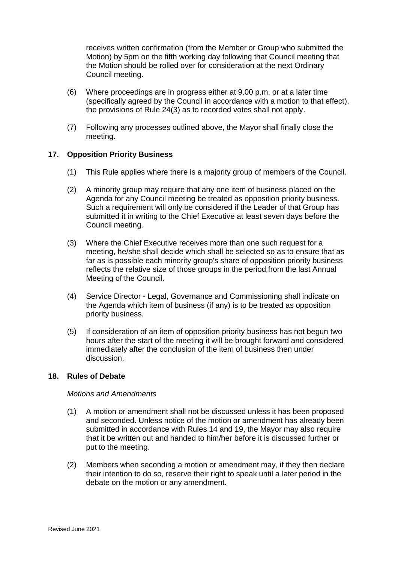receives written confirmation (from the Member or Group who submitted the Motion) by 5pm on the fifth working day following that Council meeting that the Motion should be rolled over for consideration at the next Ordinary Council meeting.

- (6) Where proceedings are in progress either at 9.00 p.m. or at a later time (specifically agreed by the Council in accordance with a motion to that effect), the provisions of Rule 24(3) as to recorded votes shall not apply.
- (7) Following any processes outlined above, the Mayor shall finally close the meeting.

## **17. Opposition Priority Business**

- (1) This Rule applies where there is a majority group of members of the Council.
- (2) A minority group may require that any one item of business placed on the Agenda for any Council meeting be treated as opposition priority business. Such a requirement will only be considered if the Leader of that Group has submitted it in writing to the Chief Executive at least seven days before the Council meeting.
- (3) Where the Chief Executive receives more than one such request for a meeting, he/she shall decide which shall be selected so as to ensure that as far as is possible each minority group's share of opposition priority business reflects the relative size of those groups in the period from the last Annual Meeting of the Council.
- (4) Service Director Legal, Governance and Commissioning shall indicate on the Agenda which item of business (if any) is to be treated as opposition priority business.
- (5) If consideration of an item of opposition priority business has not begun two hours after the start of the meeting it will be brought forward and considered immediately after the conclusion of the item of business then under discussion.

## **18. Rules of Debate**

## *Motions and Amendments*

- (1) A motion or amendment shall not be discussed unless it has been proposed and seconded. Unless notice of the motion or amendment has already been submitted in accordance with Rules 14 and 19, the Mayor may also require that it be written out and handed to him/her before it is discussed further or put to the meeting.
- (2) Members when seconding a motion or amendment may, if they then declare their intention to do so, reserve their right to speak until a later period in the debate on the motion or any amendment.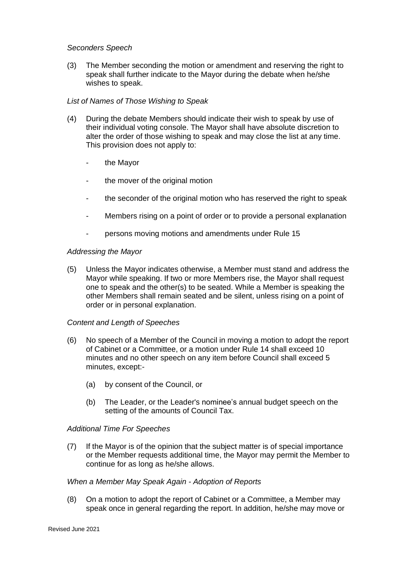## *Seconders Speech*

(3) The Member seconding the motion or amendment and reserving the right to speak shall further indicate to the Mayor during the debate when he/she wishes to speak.

## *List of Names of Those Wishing to Speak*

- (4) During the debate Members should indicate their wish to speak by use of their individual voting console. The Mayor shall have absolute discretion to alter the order of those wishing to speak and may close the list at any time. This provision does not apply to:
	- the Mayor
	- the mover of the original motion
	- the seconder of the original motion who has reserved the right to speak
	- Members rising on a point of order or to provide a personal explanation
	- persons moving motions and amendments under Rule 15

#### *Addressing the Mayor*

(5) Unless the Mayor indicates otherwise, a Member must stand and address the Mayor while speaking. If two or more Members rise, the Mayor shall request one to speak and the other(s) to be seated. While a Member is speaking the other Members shall remain seated and be silent, unless rising on a point of order or in personal explanation.

#### *Content and Length of Speeches*

- (6) No speech of a Member of the Council in moving a motion to adopt the report of Cabinet or a Committee, or a motion under Rule 14 shall exceed 10 minutes and no other speech on any item before Council shall exceed 5 minutes, except:-
	- (a) by consent of the Council, or
	- (b) The Leader, or the Leader's nominee's annual budget speech on the setting of the amounts of Council Tax.

#### *Additional Time For Speeches*

(7) If the Mayor is of the opinion that the subject matter is of special importance or the Member requests additional time, the Mayor may permit the Member to continue for as long as he/she allows.

#### *When a Member May Speak Again - Adoption of Reports*

(8) On a motion to adopt the report of Cabinet or a Committee, a Member may speak once in general regarding the report. In addition, he/she may move or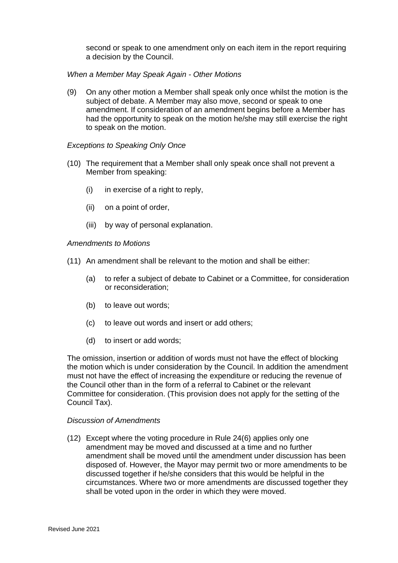second or speak to one amendment only on each item in the report requiring a decision by the Council.

## *When a Member May Speak Again - Other Motions*

(9) On any other motion a Member shall speak only once whilst the motion is the subject of debate. A Member may also move, second or speak to one amendment. If consideration of an amendment begins before a Member has had the opportunity to speak on the motion he/she may still exercise the right to speak on the motion.

#### *Exceptions to Speaking Only Once*

- (10) The requirement that a Member shall only speak once shall not prevent a Member from speaking:
	- (i) in exercise of a right to reply,
	- (ii) on a point of order,
	- (iii) by way of personal explanation.

#### *Amendments to Motions*

- (11) An amendment shall be relevant to the motion and shall be either:
	- (a) to refer a subject of debate to Cabinet or a Committee, for consideration or reconsideration;
	- (b) to leave out words;
	- (c) to leave out words and insert or add others;
	- (d) to insert or add words;

The omission, insertion or addition of words must not have the effect of blocking the motion which is under consideration by the Council. In addition the amendment must not have the effect of increasing the expenditure or reducing the revenue of the Council other than in the form of a referral to Cabinet or the relevant Committee for consideration. (This provision does not apply for the setting of the Council Tax).

#### *Discussion of Amendments*

(12) Except where the voting procedure in Rule 24(6) applies only one amendment may be moved and discussed at a time and no further amendment shall be moved until the amendment under discussion has been disposed of. However, the Mayor may permit two or more amendments to be discussed together if he/she considers that this would be helpful in the circumstances. Where two or more amendments are discussed together they shall be voted upon in the order in which they were moved.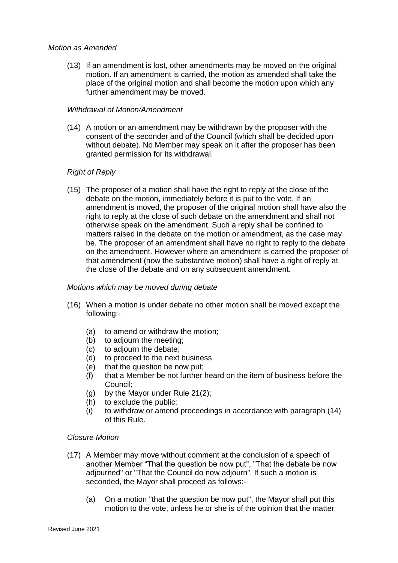## *Motion as Amended*

(13) If an amendment is lost, other amendments may be moved on the original motion. If an amendment is carried, the motion as amended shall take the place of the original motion and shall become the motion upon which any further amendment may be moved.

#### *Withdrawal of Motion/Amendment*

(14) A motion or an amendment may be withdrawn by the proposer with the consent of the seconder and of the Council (which shall be decided upon without debate). No Member may speak on it after the proposer has been granted permission for its withdrawal.

## *Right of Reply*

(15) The proposer of a motion shall have the right to reply at the close of the debate on the motion, immediately before it is put to the vote. If an amendment is moved, the proposer of the original motion shall have also the right to reply at the close of such debate on the amendment and shall not otherwise speak on the amendment. Such a reply shall be confined to matters raised in the debate on the motion or amendment, as the case may be. The proposer of an amendment shall have no right to reply to the debate on the amendment. However where an amendment is carried the proposer of that amendment (now the substantive motion) shall have a right of reply at the close of the debate and on any subsequent amendment.

## *Motions which may be moved during debate*

- (16) When a motion is under debate no other motion shall be moved except the following:-
	- (a) to amend or withdraw the motion;
	- (b) to adjourn the meeting;
	- (c) to adjourn the debate;
	- (d) to proceed to the next business
	- (e) that the question be now put;
	- (f) that a Member be not further heard on the item of business before the Council;
	- (g) by the Mayor under Rule 21(2);
	- (h) to exclude the public;
	- (i) to withdraw or amend proceedings in accordance with paragraph (14) of this Rule.

## *Closure Motion*

- (17) A Member may move without comment at the conclusion of a speech of another Member "That the question be now put", "That the debate be now adjourned" or "That the Council do now adjourn". If such a motion is seconded, the Mayor shall proceed as follows:-
	- (a) On a motion "that the question be now put", the Mayor shall put this motion to the vote, unless he or she is of the opinion that the matter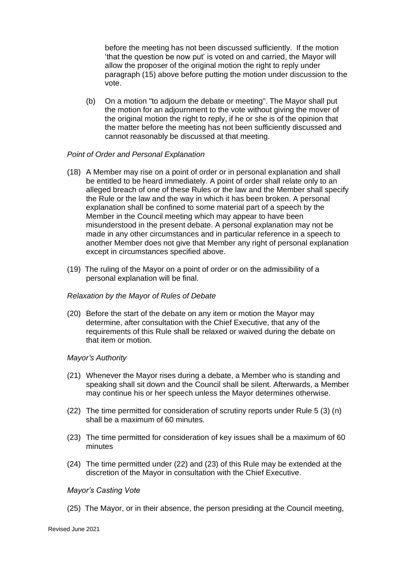before the meeting has not been discussed sufficiently. If the motion 'that the question be now put' is voted on and carried, the Mayor will allow the proposer of the original motion the right to reply under paragraph (15) above before putting the motion under discussion to the vote.

(b) On a motion "to adjourn the debate or meeting". The Mayor shall put the motion for an adjournment to the vote without giving the mover of the original motion the right to reply, if he or she is of the opinion that the matter before the meeting has not been sufficiently discussed and cannot reasonably be discussed at that meeting.

## *Point of Order and Personal Explanation*

- (18) A Member may rise on a point of order or in personal explanation and shall be entitled to be heard immediately. A point of order shall relate only to an alleged breach of one of these Rules or the law and the Member shall specify the Rule or the law and the way in which it has been broken. A personal explanation shall be confined to some material part of a speech by the Member in the Council meeting which may appear to have been misunderstood in the present debate. A personal explanation may not be made in any other circumstances and in particular reference in a speech to another Member does not give that Member any right of personal explanation except in circumstances specified above.
- (19) The ruling of the Mayor on a point of order or on the admissibility of a personal explanation will be final.

#### *Relaxation by the Mayor of Rules of Debate*

(20) Before the start of the debate on any item or motion the Mayor may determine, after consultation with the Chief Executive, that any of the requirements of this Rule shall be relaxed or waived during the debate on that item or motion.

#### *Mayor's Authority*

- (21) Whenever the Mayor rises during a debate, a Member who is standing and speaking shall sit down and the Council shall be silent. Afterwards, a Member may continue his or her speech unless the Mayor determines otherwise.
- (22) The time permitted for consideration of scrutiny reports under Rule 5 (3) (n) shall be a maximum of 60 minutes.
- (23) The time permitted for consideration of key issues shall be a maximum of 60 minutes
- (24) The time permitted under (22) and (23) of this Rule may be extended at the discretion of the Mayor in consultation with the Chief Executive.

#### *Mayor's Casting Vote*

(25) The Mayor, or in their absence, the person presiding at the Council meeting,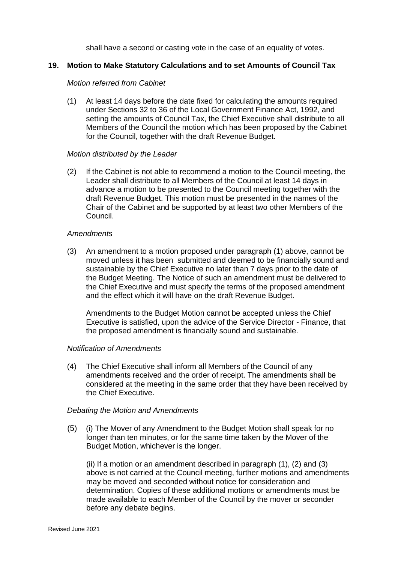shall have a second or casting vote in the case of an equality of votes.

## **19. Motion to Make Statutory Calculations and to set Amounts of Council Tax**

#### *Motion referred from Cabinet*

(1) At least 14 days before the date fixed for calculating the amounts required under Sections 32 to 36 of the Local Government Finance Act, 1992, and setting the amounts of Council Tax, the Chief Executive shall distribute to all Members of the Council the motion which has been proposed by the Cabinet for the Council, together with the draft Revenue Budget.

#### *Motion distributed by the Leader*

(2) If the Cabinet is not able to recommend a motion to the Council meeting, the Leader shall distribute to all Members of the Council at least 14 days in advance a motion to be presented to the Council meeting together with the draft Revenue Budget. This motion must be presented in the names of the Chair of the Cabinet and be supported by at least two other Members of the Council.

#### *Amendments*

(3) An amendment to a motion proposed under paragraph (1) above, cannot be moved unless it has been submitted and deemed to be financially sound and sustainable by the Chief Executive no later than 7 days prior to the date of the Budget Meeting. The Notice of such an amendment must be delivered to the Chief Executive and must specify the terms of the proposed amendment and the effect which it will have on the draft Revenue Budget.

Amendments to the Budget Motion cannot be accepted unless the Chief Executive is satisfied, upon the advice of the Service Director - Finance, that the proposed amendment is financially sound and sustainable.

#### *Notification of Amendments*

(4) The Chief Executive shall inform all Members of the Council of any amendments received and the order of receipt. The amendments shall be considered at the meeting in the same order that they have been received by the Chief Executive.

#### *Debating the Motion and Amendments*

(5) (i) The Mover of any Amendment to the Budget Motion shall speak for no longer than ten minutes, or for the same time taken by the Mover of the Budget Motion, whichever is the longer.

 (ii) If a motion or an amendment described in paragraph (1), (2) and (3) above is not carried at the Council meeting, further motions and amendments may be moved and seconded without notice for consideration and determination. Copies of these additional motions or amendments must be made available to each Member of the Council by the mover or seconder before any debate begins.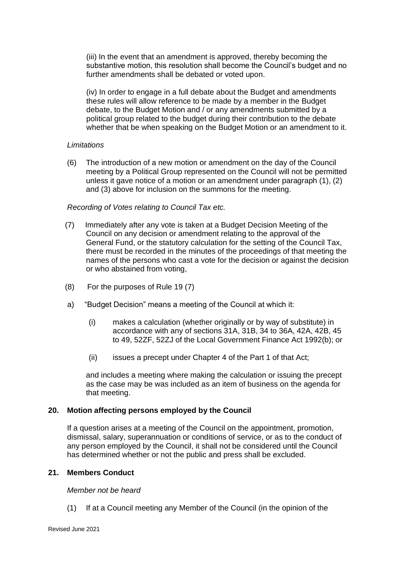(iii) In the event that an amendment is approved, thereby becoming the substantive motion, this resolution shall become the Council's budget and no further amendments shall be debated or voted upon.

(iv) In order to engage in a full debate about the Budget and amendments these rules will allow reference to be made by a member in the Budget debate, to the Budget Motion and / or any amendments submitted by a political group related to the budget during their contribution to the debate whether that be when speaking on the Budget Motion or an amendment to it.

## *Limitations*

(6) The introduction of a new motion or amendment on the day of the Council meeting by a Political Group represented on the Council will not be permitted unless it gave notice of a motion or an amendment under paragraph (1), (2) and (3) above for inclusion on the summons for the meeting.

## *Recording of Votes relating to Council Tax etc.*

- (7) Immediately after any vote is taken at a Budget Decision Meeting of the Council on any decision or amendment relating to the approval of the General Fund, or the statutory calculation for the setting of the Council Tax, there must be recorded in the minutes of the proceedings of that meeting the names of the persons who cast a vote for the decision or against the decision or who abstained from voting,
- (8) For the purposes of Rule 19 (7)
- a) "Budget Decision" means a meeting of the Council at which it:
	- (i) makes a calculation (whether originally or by way of substitute) in accordance with any of sections 31A, 31B, 34 to 36A, 42A, 42B, 45 to 49, 52ZF, 52ZJ of the Local Government Finance Act 1992(b); or
	- (ii) issues a precept under Chapter 4 of the Part 1 of that Act;

and includes a meeting where making the calculation or issuing the precept as the case may be was included as an item of business on the agenda for that meeting.

#### **20. Motion affecting persons employed by the Council**

If a question arises at a meeting of the Council on the appointment, promotion, dismissal, salary, superannuation or conditions of service, or as to the conduct of any person employed by the Council, it shall not be considered until the Council has determined whether or not the public and press shall be excluded.

#### **21. Members Conduct**

#### *Member not be heard*

(1) If at a Council meeting any Member of the Council (in the opinion of the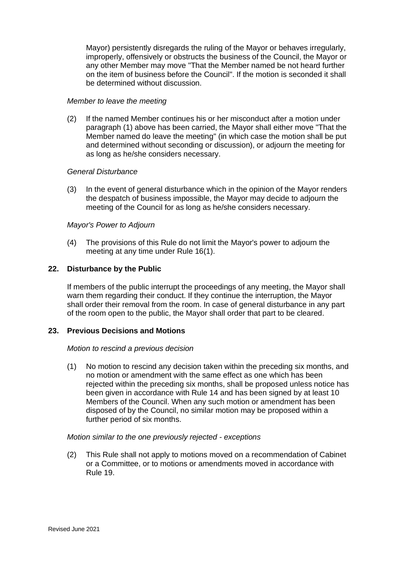Mayor) persistently disregards the ruling of the Mayor or behaves irregularly, improperly, offensively or obstructs the business of the Council, the Mayor or any other Member may move "That the Member named be not heard further on the item of business before the Council". If the motion is seconded it shall be determined without discussion.

#### *Member to leave the meeting*

(2) If the named Member continues his or her misconduct after a motion under paragraph (1) above has been carried, the Mayor shall either move "That the Member named do leave the meeting" (in which case the motion shall be put and determined without seconding or discussion), or adjourn the meeting for as long as he/she considers necessary.

#### *General Disturbance*

(3) In the event of general disturbance which in the opinion of the Mayor renders the despatch of business impossible, the Mayor may decide to adjourn the meeting of the Council for as long as he/she considers necessary.

#### *Mayor's Power to Adjourn*

(4) The provisions of this Rule do not limit the Mayor's power to adjourn the meeting at any time under Rule 16(1).

#### **22. Disturbance by the Public**

If members of the public interrupt the proceedings of any meeting, the Mayor shall warn them regarding their conduct. If they continue the interruption, the Mayor shall order their removal from the room. In case of general disturbance in any part of the room open to the public, the Mayor shall order that part to be cleared.

## **23. Previous Decisions and Motions**

#### *Motion to rescind a previous decision*

(1) No motion to rescind any decision taken within the preceding six months, and no motion or amendment with the same effect as one which has been rejected within the preceding six months, shall be proposed unless notice has been given in accordance with Rule 14 and has been signed by at least 10 Members of the Council. When any such motion or amendment has been disposed of by the Council, no similar motion may be proposed within a further period of six months.

#### *Motion similar to the one previously rejected - exceptions*

(2) This Rule shall not apply to motions moved on a recommendation of Cabinet or a Committee, or to motions or amendments moved in accordance with Rule 19.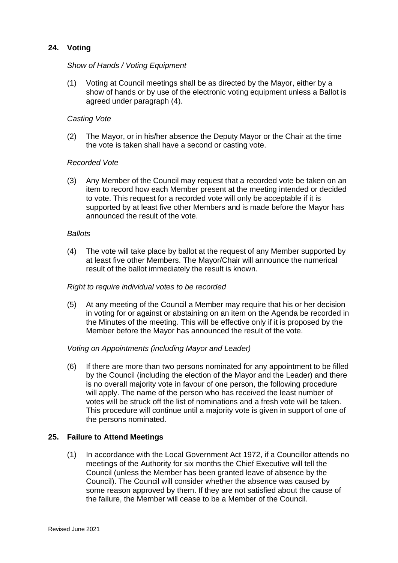## **24. Voting**

## *Show of Hands / Voting Equipment*

(1) Voting at Council meetings shall be as directed by the Mayor, either by a show of hands or by use of the electronic voting equipment unless a Ballot is agreed under paragraph (4).

#### *Casting Vote*

(2) The Mayor, or in his/her absence the Deputy Mayor or the Chair at the time the vote is taken shall have a second or casting vote.

#### *Recorded Vote*

(3) Any Member of the Council may request that a recorded vote be taken on an item to record how each Member present at the meeting intended or decided to vote. This request for a recorded vote will only be acceptable if it is supported by at least five other Members and is made before the Mayor has announced the result of the vote.

#### *Ballots*

(4) The vote will take place by ballot at the request of any Member supported by at least five other Members. The Mayor/Chair will announce the numerical result of the ballot immediately the result is known.

#### *Right to require individual votes to be recorded*

(5) At any meeting of the Council a Member may require that his or her decision in voting for or against or abstaining on an item on the Agenda be recorded in the Minutes of the meeting. This will be effective only if it is proposed by the Member before the Mayor has announced the result of the vote.

#### *Voting on Appointments (including Mayor and Leader)*

(6) If there are more than two persons nominated for any appointment to be filled by the Council (including the election of the Mayor and the Leader) and there is no overall majority vote in favour of one person, the following procedure will apply. The name of the person who has received the least number of votes will be struck off the list of nominations and a fresh vote will be taken. This procedure will continue until a majority vote is given in support of one of the persons nominated.

#### **25. Failure to Attend Meetings**

(1) In accordance with the Local Government Act 1972, if a Councillor attends no meetings of the Authority for six months the Chief Executive will tell the Council (unless the Member has been granted leave of absence by the Council). The Council will consider whether the absence was caused by some reason approved by them. If they are not satisfied about the cause of the failure, the Member will cease to be a Member of the Council.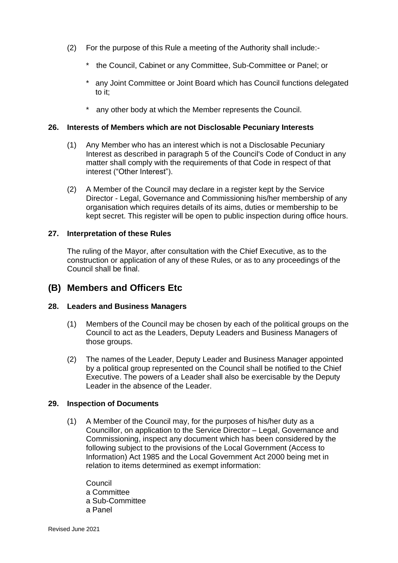- (2) For the purpose of this Rule a meeting of the Authority shall include:-
	- \* the Council, Cabinet or any Committee, Sub-Committee or Panel; or
	- \* any Joint Committee or Joint Board which has Council functions delegated to it;
	- any other body at which the Member represents the Council.

#### **26. Interests of Members which are not Disclosable Pecuniary Interests**

- (1) Any Member who has an interest which is not a Disclosable Pecuniary Interest as described in paragraph 5 of the Council's Code of Conduct in any matter shall comply with the requirements of that Code in respect of that interest ("Other Interest").
- (2) A Member of the Council may declare in a register kept by the Service Director - Legal, Governance and Commissioning his/her membership of any organisation which requires details of its aims, duties or membership to be kept secret. This register will be open to public inspection during office hours.

#### **27. Interpretation of these Rules**

The ruling of the Mayor, after consultation with the Chief Executive, as to the construction or application of any of these Rules, or as to any proceedings of the Council shall be final.

## **(B) Members and Officers Etc**

## **28. Leaders and Business Managers**

- (1) Members of the Council may be chosen by each of the political groups on the Council to act as the Leaders, Deputy Leaders and Business Managers of those groups.
- (2) The names of the Leader, Deputy Leader and Business Manager appointed by a political group represented on the Council shall be notified to the Chief Executive. The powers of a Leader shall also be exercisable by the Deputy Leader in the absence of the Leader.

## **29. Inspection of Documents**

(1) A Member of the Council may, for the purposes of his/her duty as a Councillor, on application to the Service Director – Legal, Governance and Commissioning, inspect any document which has been considered by the following subject to the provisions of the Local Government (Access to Information) Act 1985 and the Local Government Act 2000 being met in relation to items determined as exempt information:

Council a Committee a Sub-Committee a Panel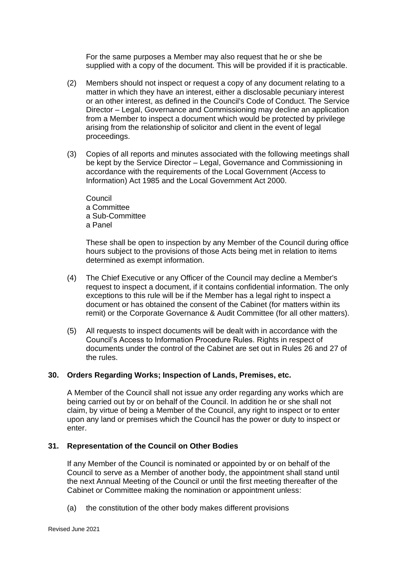For the same purposes a Member may also request that he or she be supplied with a copy of the document. This will be provided if it is practicable.

- (2) Members should not inspect or request a copy of any document relating to a matter in which they have an interest, either a disclosable pecuniary interest or an other interest, as defined in the Council's Code of Conduct. The Service Director – Legal, Governance and Commissioning may decline an application from a Member to inspect a document which would be protected by privilege arising from the relationship of solicitor and client in the event of legal proceedings.
- (3) Copies of all reports and minutes associated with the following meetings shall be kept by the Service Director – Legal, Governance and Commissioning in accordance with the requirements of the Local Government (Access to Information) Act 1985 and the Local Government Act 2000.

**Council** a Committee a Sub-Committee a Panel

These shall be open to inspection by any Member of the Council during office hours subject to the provisions of those Acts being met in relation to items determined as exempt information.

- (4) The Chief Executive or any Officer of the Council may decline a Member's request to inspect a document, if it contains confidential information. The only exceptions to this rule will be if the Member has a legal right to inspect a document or has obtained the consent of the Cabinet (for matters within its remit) or the Corporate Governance & Audit Committee (for all other matters).
- (5) All requests to inspect documents will be dealt with in accordance with the Council's Access to Information Procedure Rules. Rights in respect of documents under the control of the Cabinet are set out in Rules 26 and 27 of the rules.

## **30. Orders Regarding Works; Inspection of Lands, Premises, etc.**

A Member of the Council shall not issue any order regarding any works which are being carried out by or on behalf of the Council. In addition he or she shall not claim, by virtue of being a Member of the Council, any right to inspect or to enter upon any land or premises which the Council has the power or duty to inspect or enter.

## **31. Representation of the Council on Other Bodies**

If any Member of the Council is nominated or appointed by or on behalf of the Council to serve as a Member of another body, the appointment shall stand until the next Annual Meeting of the Council or until the first meeting thereafter of the Cabinet or Committee making the nomination or appointment unless:

(a) the constitution of the other body makes different provisions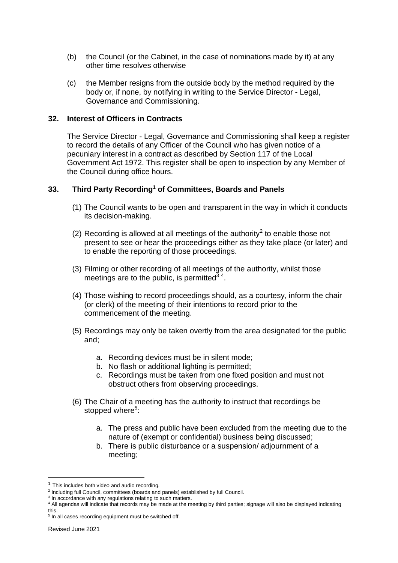- (b) the Council (or the Cabinet, in the case of nominations made by it) at any other time resolves otherwise
- (c) the Member resigns from the outside body by the method required by the body or, if none, by notifying in writing to the Service Director - Legal, Governance and Commissioning.

#### **32. Interest of Officers in Contracts**

The Service Director - Legal, Governance and Commissioning shall keep a register to record the details of any Officer of the Council who has given notice of a pecuniary interest in a contract as described by Section 117 of the Local Government Act 1972. This register shall be open to inspection by any Member of the Council during office hours.

## **33. Third Party Recording<sup>1</sup> of Committees, Boards and Panels**

- (1) The Council wants to be open and transparent in the way in which it conducts its decision-making.
- (2) Recording is allowed at all meetings of the authority<sup>2</sup> to enable those not present to see or hear the proceedings either as they take place (or later) and to enable the reporting of those proceedings.
- (3) Filming or other recording of all meetings of the authority, whilst those meetings are to the public, is permitted $3/4$ .
- (4) Those wishing to record proceedings should, as a courtesy, inform the chair (or clerk) of the meeting of their intentions to record prior to the commencement of the meeting.
- (5) Recordings may only be taken overtly from the area designated for the public and;
	- a. Recording devices must be in silent mode;
	- b. No flash or additional lighting is permitted;
	- c. Recordings must be taken from one fixed position and must not obstruct others from observing proceedings.
- (6) The Chair of a meeting has the authority to instruct that recordings be stopped where<sup>5</sup>:
	- a. The press and public have been excluded from the meeting due to the nature of (exempt or confidential) business being discussed;
	- b. There is public disturbance or a suspension/ adjournment of a meeting;

 $3$  In accordance with any regulations relating to such matters.

 $<sup>1</sup>$  This includes both video and audio recording.</sup>

<sup>&</sup>lt;sup>2</sup> Including full Council, committees (boards and panels) established by full Council.

<sup>4</sup> All agendas will indicate that records may be made at the meeting by third parties; signage will also be displayed indicating this.

<sup>&</sup>lt;sup>5</sup> In all cases recording equipment must be switched off.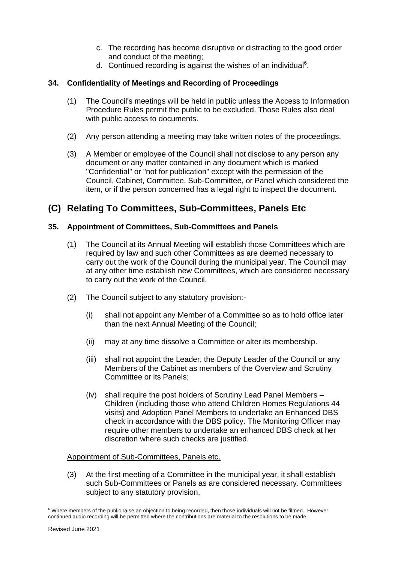- c. The recording has become disruptive or distracting to the good order and conduct of the meeting;
- d. Continued recording is against the wishes of an individual<sup>6</sup>.

## **34. Confidentiality of Meetings and Recording of Proceedings**

- (1) The Council's meetings will be held in public unless the Access to Information Procedure Rules permit the public to be excluded. Those Rules also deal with public access to documents.
- (2) Any person attending a meeting may take written notes of the proceedings.
- (3) A Member or employee of the Council shall not disclose to any person any document or any matter contained in any document which is marked "Confidential" or "not for publication" except with the permission of the Council, Cabinet, Committee, Sub-Committee, or Panel which considered the item, or if the person concerned has a legal right to inspect the document.

# **(C) Relating To Committees, Sub-Committees, Panels Etc**

## **35. Appointment of Committees, Sub-Committees and Panels**

- (1) The Council at its Annual Meeting will establish those Committees which are required by law and such other Committees as are deemed necessary to carry out the work of the Council during the municipal year. The Council may at any other time establish new Committees, which are considered necessary to carry out the work of the Council.
- (2) The Council subject to any statutory provision:-
	- (i) shall not appoint any Member of a Committee so as to hold office later than the next Annual Meeting of the Council;
	- (ii) may at any time dissolve a Committee or alter its membership.
	- (iii) shall not appoint the Leader, the Deputy Leader of the Council or any Members of the Cabinet as members of the Overview and Scrutiny Committee or its Panels;
	- (iv) shall require the post holders of Scrutiny Lead Panel Members Children (including those who attend Children Homes Regulations 44 visits) and Adoption Panel Members to undertake an Enhanced DBS check in accordance with the DBS policy. The Monitoring Officer may require other members to undertake an enhanced DBS check at her discretion where such checks are justified.

## Appointment of Sub-Committees, Panels etc.

(3) At the first meeting of a Committee in the municipal year, it shall establish such Sub-Committees or Panels as are considered necessary. Committees subject to any statutory provision,

<sup>&</sup>lt;sup>6</sup> Where members of the public raise an objection to being recorded, then those individuals will not be filmed. However continued audio recording will be permitted where the contributions are material to the resolutions to be made.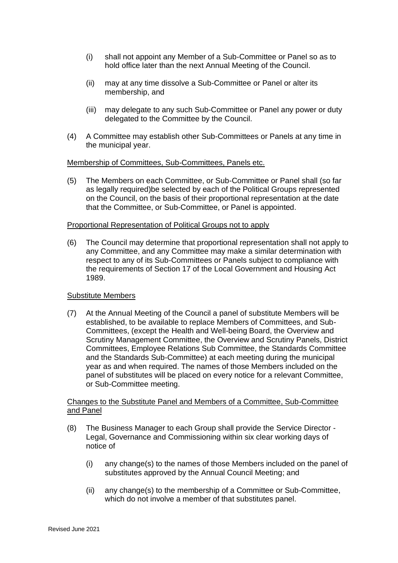- (i) shall not appoint any Member of a Sub-Committee or Panel so as to hold office later than the next Annual Meeting of the Council.
- (ii) may at any time dissolve a Sub-Committee or Panel or alter its membership, and
- (iii) may delegate to any such Sub-Committee or Panel any power or duty delegated to the Committee by the Council.
- (4) A Committee may establish other Sub-Committees or Panels at any time in the municipal year.

## Membership of Committees, Sub-Committees, Panels etc.

(5) The Members on each Committee, or Sub-Committee or Panel shall (so far as legally required)be selected by each of the Political Groups represented on the Council, on the basis of their proportional representation at the date that the Committee, or Sub-Committee, or Panel is appointed.

#### Proportional Representation of Political Groups not to apply

(6) The Council may determine that proportional representation shall not apply to any Committee, and any Committee may make a similar determination with respect to any of its Sub-Committees or Panels subject to compliance with the requirements of Section 17 of the Local Government and Housing Act 1989.

## Substitute Members

(7) At the Annual Meeting of the Council a panel of substitute Members will be established, to be available to replace Members of Committees, and Sub-Committees, (except the Health and Well-being Board, the Overview and Scrutiny Management Committee, the Overview and Scrutiny Panels, District Committees, Employee Relations Sub Committee, the Standards Committee and the Standards Sub-Committee) at each meeting during the municipal year as and when required. The names of those Members included on the panel of substitutes will be placed on every notice for a relevant Committee, or Sub-Committee meeting.

#### Changes to the Substitute Panel and Members of a Committee, Sub-Committee and Panel

- (8) The Business Manager to each Group shall provide the Service Director Legal, Governance and Commissioning within six clear working days of notice of
	- (i) any change(s) to the names of those Members included on the panel of substitutes approved by the Annual Council Meeting; and
	- (ii) any change(s) to the membership of a Committee or Sub-Committee, which do not involve a member of that substitutes panel.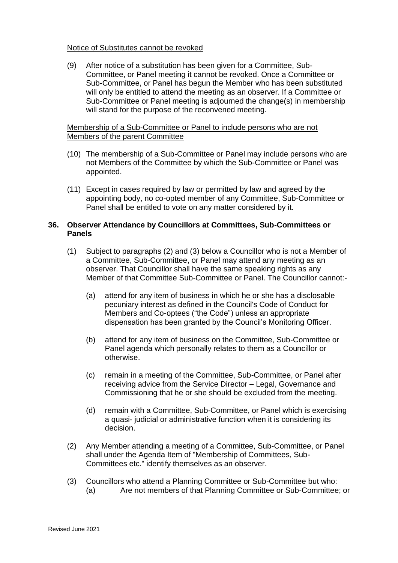#### Notice of Substitutes cannot be revoked

(9) After notice of a substitution has been given for a Committee, Sub-Committee, or Panel meeting it cannot be revoked. Once a Committee or Sub-Committee, or Panel has begun the Member who has been substituted will only be entitled to attend the meeting as an observer. If a Committee or Sub-Committee or Panel meeting is adjourned the change(s) in membership will stand for the purpose of the reconvened meeting.

## Membership of a Sub-Committee or Panel to include persons who are not Members of the parent Committee

- (10) The membership of a Sub-Committee or Panel may include persons who are not Members of the Committee by which the Sub-Committee or Panel was appointed.
- (11) Except in cases required by law or permitted by law and agreed by the appointing body, no co-opted member of any Committee, Sub-Committee or Panel shall be entitled to vote on any matter considered by it.

#### **36. Observer Attendance by Councillors at Committees, Sub-Committees or Panels**

- (1) Subject to paragraphs (2) and (3) below a Councillor who is not a Member of a Committee, Sub-Committee, or Panel may attend any meeting as an observer. That Councillor shall have the same speaking rights as any Member of that Committee Sub-Committee or Panel. The Councillor cannot:-
	- (a) attend for any item of business in which he or she has a disclosable pecuniary interest as defined in the Council's Code of Conduct for Members and Co-optees ("the Code") unless an appropriate dispensation has been granted by the Council's Monitoring Officer.
	- (b) attend for any item of business on the Committee, Sub-Committee or Panel agenda which personally relates to them as a Councillor or otherwise.
	- (c) remain in a meeting of the Committee, Sub-Committee, or Panel after receiving advice from the Service Director – Legal, Governance and Commissioning that he or she should be excluded from the meeting.
	- (d) remain with a Committee, Sub-Committee, or Panel which is exercising a quasi- judicial or administrative function when it is considering its decision.
- (2) Any Member attending a meeting of a Committee, Sub-Committee, or Panel shall under the Agenda Item of "Membership of Committees, Sub-Committees etc." identify themselves as an observer.
- (3) Councillors who attend a Planning Committee or Sub-Committee but who: (a) Are not members of that Planning Committee or Sub-Committee; or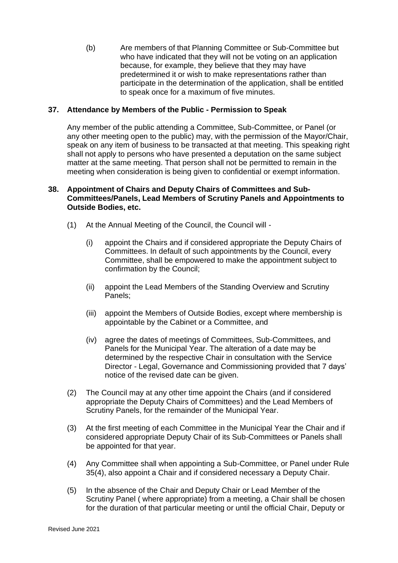(b) Are members of that Planning Committee or Sub-Committee but who have indicated that they will not be voting on an application because, for example, they believe that they may have predetermined it or wish to make representations rather than participate in the determination of the application, shall be entitled to speak once for a maximum of five minutes.

## **37. Attendance by Members of the Public - Permission to Speak**

Any member of the public attending a Committee, Sub-Committee, or Panel (or any other meeting open to the public) may, with the permission of the Mayor/Chair, speak on any item of business to be transacted at that meeting. This speaking right shall not apply to persons who have presented a deputation on the same subject matter at the same meeting. That person shall not be permitted to remain in the meeting when consideration is being given to confidential or exempt information.

## **38. Appointment of Chairs and Deputy Chairs of Committees and Sub-Committees/Panels, Lead Members of Scrutiny Panels and Appointments to Outside Bodies, etc.**

- (1) At the Annual Meeting of the Council, the Council will
	- (i) appoint the Chairs and if considered appropriate the Deputy Chairs of Committees. In default of such appointments by the Council, every Committee, shall be empowered to make the appointment subject to confirmation by the Council;
	- (ii) appoint the Lead Members of the Standing Overview and Scrutiny Panels;
	- (iii) appoint the Members of Outside Bodies, except where membership is appointable by the Cabinet or a Committee, and
	- (iv) agree the dates of meetings of Committees, Sub-Committees, and Panels for the Municipal Year. The alteration of a date may be determined by the respective Chair in consultation with the Service Director - Legal, Governance and Commissioning provided that 7 days' notice of the revised date can be given.
- (2) The Council may at any other time appoint the Chairs (and if considered appropriate the Deputy Chairs of Committees) and the Lead Members of Scrutiny Panels, for the remainder of the Municipal Year.
- (3) At the first meeting of each Committee in the Municipal Year the Chair and if considered appropriate Deputy Chair of its Sub-Committees or Panels shall be appointed for that year.
- (4) Any Committee shall when appointing a Sub-Committee, or Panel under Rule 35(4), also appoint a Chair and if considered necessary a Deputy Chair.
- (5) In the absence of the Chair and Deputy Chair or Lead Member of the Scrutiny Panel ( where appropriate) from a meeting, a Chair shall be chosen for the duration of that particular meeting or until the official Chair, Deputy or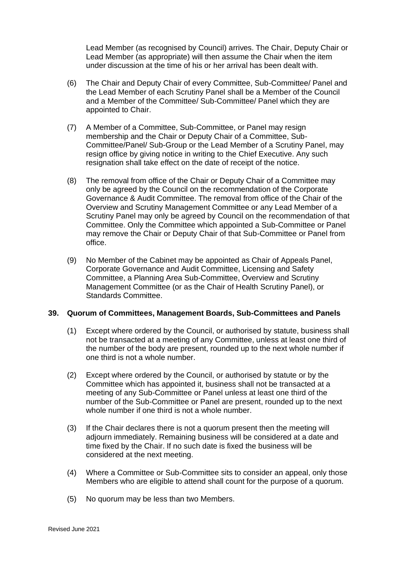Lead Member (as recognised by Council) arrives. The Chair, Deputy Chair or Lead Member (as appropriate) will then assume the Chair when the item under discussion at the time of his or her arrival has been dealt with.

- (6) The Chair and Deputy Chair of every Committee, Sub-Committee/ Panel and the Lead Member of each Scrutiny Panel shall be a Member of the Council and a Member of the Committee/ Sub-Committee/ Panel which they are appointed to Chair.
- (7) A Member of a Committee, Sub-Committee, or Panel may resign membership and the Chair or Deputy Chair of a Committee, Sub-Committee/Panel/ Sub-Group or the Lead Member of a Scrutiny Panel, may resign office by giving notice in writing to the Chief Executive. Any such resignation shall take effect on the date of receipt of the notice.
- (8) The removal from office of the Chair or Deputy Chair of a Committee may only be agreed by the Council on the recommendation of the Corporate Governance & Audit Committee. The removal from office of the Chair of the Overview and Scrutiny Management Committee or any Lead Member of a Scrutiny Panel may only be agreed by Council on the recommendation of that Committee. Only the Committee which appointed a Sub-Committee or Panel may remove the Chair or Deputy Chair of that Sub-Committee or Panel from office.
- (9) No Member of the Cabinet may be appointed as Chair of Appeals Panel, Corporate Governance and Audit Committee, Licensing and Safety Committee, a Planning Area Sub-Committee, Overview and Scrutiny Management Committee (or as the Chair of Health Scrutiny Panel), or Standards Committee.

## **39. Quorum of Committees, Management Boards, Sub-Committees and Panels**

- (1) Except where ordered by the Council, or authorised by statute, business shall not be transacted at a meeting of any Committee, unless at least one third of the number of the body are present, rounded up to the next whole number if one third is not a whole number.
- (2) Except where ordered by the Council, or authorised by statute or by the Committee which has appointed it, business shall not be transacted at a meeting of any Sub-Committee or Panel unless at least one third of the number of the Sub-Committee or Panel are present, rounded up to the next whole number if one third is not a whole number.
- (3) If the Chair declares there is not a quorum present then the meeting will adjourn immediately. Remaining business will be considered at a date and time fixed by the Chair. If no such date is fixed the business will be considered at the next meeting.
- (4) Where a Committee or Sub-Committee sits to consider an appeal, only those Members who are eligible to attend shall count for the purpose of a quorum.
- (5) No quorum may be less than two Members.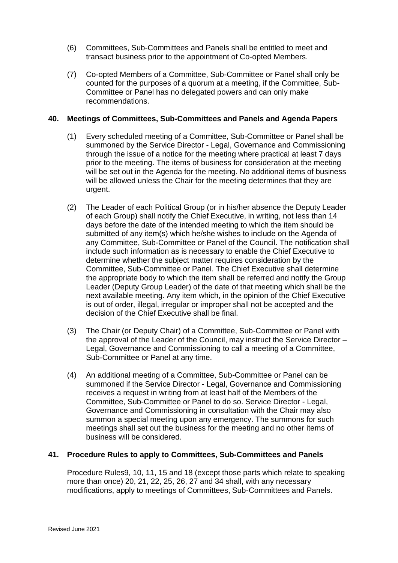- (6) Committees, Sub-Committees and Panels shall be entitled to meet and transact business prior to the appointment of Co-opted Members.
- (7) Co-opted Members of a Committee, Sub-Committee or Panel shall only be counted for the purposes of a quorum at a meeting, if the Committee, Sub-Committee or Panel has no delegated powers and can only make recommendations.

## **40. Meetings of Committees, Sub-Committees and Panels and Agenda Papers**

- (1) Every scheduled meeting of a Committee, Sub-Committee or Panel shall be summoned by the Service Director - Legal, Governance and Commissioning through the issue of a notice for the meeting where practical at least 7 days prior to the meeting. The items of business for consideration at the meeting will be set out in the Agenda for the meeting. No additional items of business will be allowed unless the Chair for the meeting determines that they are urgent.
- (2) The Leader of each Political Group (or in his/her absence the Deputy Leader of each Group) shall notify the Chief Executive, in writing, not less than 14 days before the date of the intended meeting to which the item should be submitted of any item(s) which he/she wishes to include on the Agenda of any Committee, Sub-Committee or Panel of the Council. The notification shall include such information as is necessary to enable the Chief Executive to determine whether the subject matter requires consideration by the Committee, Sub-Committee or Panel. The Chief Executive shall determine the appropriate body to which the item shall be referred and notify the Group Leader (Deputy Group Leader) of the date of that meeting which shall be the next available meeting. Any item which, in the opinion of the Chief Executive is out of order, illegal, irregular or improper shall not be accepted and the decision of the Chief Executive shall be final.
- (3) The Chair (or Deputy Chair) of a Committee, Sub-Committee or Panel with the approval of the Leader of the Council, may instruct the Service Director – Legal, Governance and Commissioning to call a meeting of a Committee, Sub-Committee or Panel at any time.
- (4) An additional meeting of a Committee, Sub-Committee or Panel can be summoned if the Service Director - Legal, Governance and Commissioning receives a request in writing from at least half of the Members of the Committee, Sub-Committee or Panel to do so. Service Director - Legal, Governance and Commissioning in consultation with the Chair may also summon a special meeting upon any emergency. The summons for such meetings shall set out the business for the meeting and no other items of business will be considered.

## **41. Procedure Rules to apply to Committees, Sub-Committees and Panels**

Procedure Rules9, 10, 11, 15 and 18 (except those parts which relate to speaking more than once) 20, 21, 22, 25, 26, 27 and 34 shall, with any necessary modifications, apply to meetings of Committees, Sub-Committees and Panels.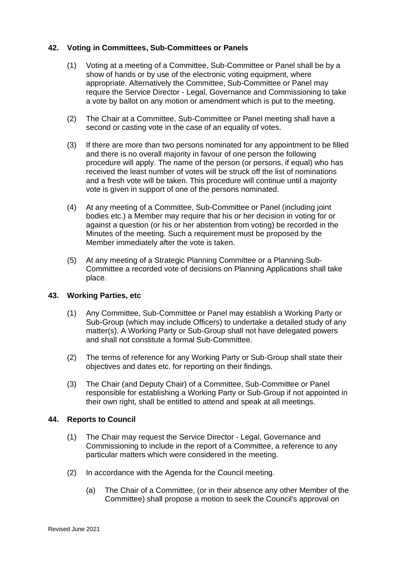## **42. Voting in Committees, Sub-Committees or Panels**

- (1) Voting at a meeting of a Committee, Sub-Committee or Panel shall be by a show of hands or by use of the electronic voting equipment, where appropriate. Alternatively the Committee, Sub-Committee or Panel may require the Service Director - Legal, Governance and Commissioning to take a vote by ballot on any motion or amendment which is put to the meeting.
- (2) The Chair at a Committee, Sub-Committee or Panel meeting shall have a second or casting vote in the case of an equality of votes.
- (3) If there are more than two persons nominated for any appointment to be filled and there is no overall majority in favour of one person the following procedure will apply. The name of the person (or persons, if equal) who has received the least number of votes will be struck off the list of nominations and a fresh vote will be taken. This procedure will continue until a majority vote is given in support of one of the persons nominated.
- (4) At any meeting of a Committee, Sub-Committee or Panel (including joint bodies etc.) a Member may require that his or her decision in voting for or against a question (or his or her abstention from voting) be recorded in the Minutes of the meeting. Such a requirement must be proposed by the Member immediately after the vote is taken.
- (5) At any meeting of a Strategic Planning Committee or a Planning Sub-Committee a recorded vote of decisions on Planning Applications shall take place.

## **43. Working Parties, etc**

- (1) Any Committee, Sub-Committee or Panel may establish a Working Party or Sub-Group (which may include Officers) to undertake a detailed study of any matter(s). A Working Party or Sub-Group shall not have delegated powers and shall not constitute a formal Sub-Committee.
- (2) The terms of reference for any Working Party or Sub-Group shall state their objectives and dates etc. for reporting on their findings.
- (3) The Chair (and Deputy Chair) of a Committee, Sub-Committee or Panel responsible for establishing a Working Party or Sub-Group if not appointed in their own right, shall be entitled to attend and speak at all meetings.

## **44. Reports to Council**

- (1) The Chair may request the Service Director Legal, Governance and Commissioning to include in the report of a Committee, a reference to any particular matters which were considered in the meeting.
- (2) In accordance with the Agenda for the Council meeting.
	- (a) The Chair of a Committee, (or in their absence any other Member of the Committee) shall propose a motion to seek the Council's approval on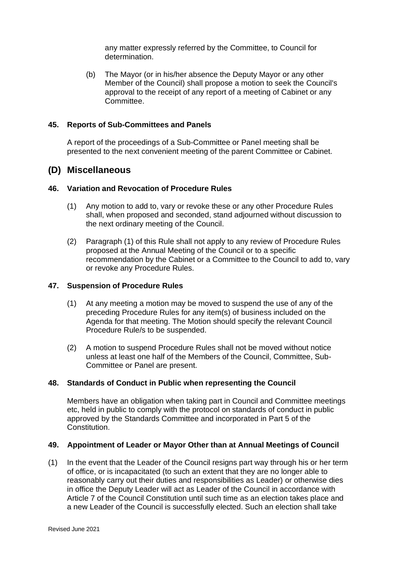any matter expressly referred by the Committee, to Council for determination.

(b) The Mayor (or in his/her absence the Deputy Mayor or any other Member of the Council) shall propose a motion to seek the Council's approval to the receipt of any report of a meeting of Cabinet or any Committee.

#### **45. Reports of Sub-Committees and Panels**

A report of the proceedings of a Sub-Committee or Panel meeting shall be presented to the next convenient meeting of the parent Committee or Cabinet.

## **(D) Miscellaneous**

#### **46. Variation and Revocation of Procedure Rules**

- (1) Any motion to add to, vary or revoke these or any other Procedure Rules shall, when proposed and seconded, stand adjourned without discussion to the next ordinary meeting of the Council.
- (2) Paragraph (1) of this Rule shall not apply to any review of Procedure Rules proposed at the Annual Meeting of the Council or to a specific recommendation by the Cabinet or a Committee to the Council to add to, vary or revoke any Procedure Rules.

#### **47. Suspension of Procedure Rules**

- (1) At any meeting a motion may be moved to suspend the use of any of the preceding Procedure Rules for any item(s) of business included on the Agenda for that meeting. The Motion should specify the relevant Council Procedure Rule/s to be suspended.
- (2) A motion to suspend Procedure Rules shall not be moved without notice unless at least one half of the Members of the Council, Committee, Sub-Committee or Panel are present.

#### **48. Standards of Conduct in Public when representing the Council**

Members have an obligation when taking part in Council and Committee meetings etc, held in public to comply with the protocol on standards of conduct in public approved by the Standards Committee and incorporated in Part 5 of the Constitution.

#### **49. Appointment of Leader or Mayor Other than at Annual Meetings of Council**

(1) In the event that the Leader of the Council resigns part way through his or her term of office, or is incapacitated (to such an extent that they are no longer able to reasonably carry out their duties and responsibilities as Leader) or otherwise dies in office the Deputy Leader will act as Leader of the Council in accordance with Article 7 of the Council Constitution until such time as an election takes place and a new Leader of the Council is successfully elected. Such an election shall take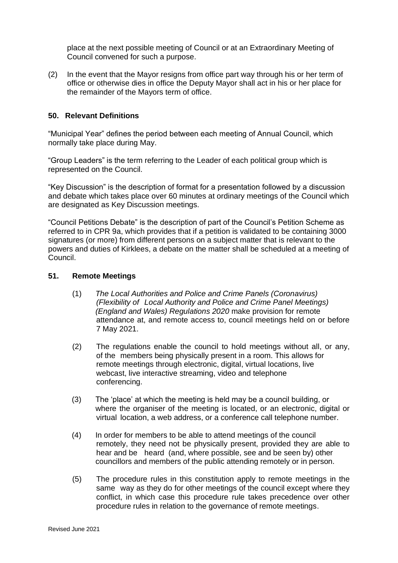place at the next possible meeting of Council or at an Extraordinary Meeting of Council convened for such a purpose.

(2) In the event that the Mayor resigns from office part way through his or her term of office or otherwise dies in office the Deputy Mayor shall act in his or her place for the remainder of the Mayors term of office.

#### **50. Relevant Definitions**

"Municipal Year" defines the period between each meeting of Annual Council, which normally take place during May.

"Group Leaders" is the term referring to the Leader of each political group which is represented on the Council.

"Key Discussion" is the description of format for a presentation followed by a discussion and debate which takes place over 60 minutes at ordinary meetings of the Council which are designated as Key Discussion meetings.

"Council Petitions Debate" is the description of part of the Council's Petition Scheme as referred to in CPR 9a, which provides that if a petition is validated to be containing 3000 signatures (or more) from different persons on a subject matter that is relevant to the powers and duties of Kirklees, a debate on the matter shall be scheduled at a meeting of Council.

#### **51. Remote Meetings**

- (1) *The [Local Authorities and Police and Crime Panels \(Coronavirus\)](https://www.legislation.gov.uk/uksi/2020/392/made)  [\(Flexibility of Local Authority and Police and Crime Panel Meetings\)](https://www.legislation.gov.uk/uksi/2020/392/made)  [\(England and Wales\) Regulations 2020](https://www.legislation.gov.uk/uksi/2020/392/made)* make provision for remote attendance at, and remote access to, council meetings held on or before 7 May 2021.
- (2) The regulations enable the council to hold meetings without all, or any, of the members being physically present in a room. This allows for remote meetings through electronic, digital, virtual locations, live webcast, live interactive streaming, video and telephone conferencing.
- (3) The 'place' at which the meeting is held may be a council building, or where the organiser of the meeting is located, or an electronic, digital or virtual location, a web address, or a conference call telephone number.
- (4) In order for members to be able to attend meetings of the council remotely, they need not be physically present, provided they are able to hear and be heard (and, where possible, see and be seen by) other councillors and members of the public attending remotely or in person.
- (5) The procedure rules in this constitution apply to remote meetings in the same way as they do for other meetings of the council except where they conflict, in which case this procedure rule takes precedence over other procedure rules in relation to the governance of remote meetings.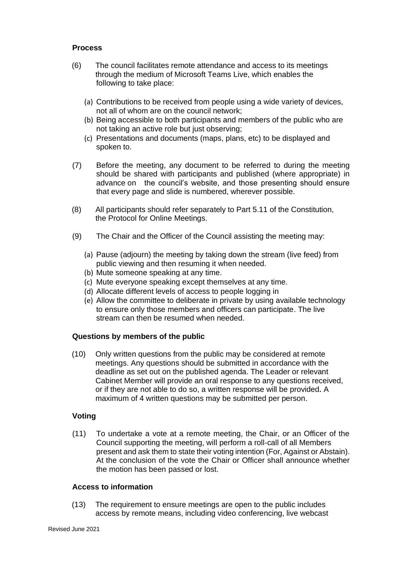## **Process**

- (6) The council facilitates remote attendance and access to its meetings through the medium of Microsoft Teams Live, which enables the following to take place:
	- (a) Contributions to be received from people using a wide variety of devices, not all of whom are on the council network;
	- (b) Being accessible to both participants and members of the public who are not taking an active role but just observing;
	- (c) Presentations and documents (maps, plans, etc) to be displayed and spoken to.
- (7) Before the meeting, any document to be referred to during the meeting should be shared with participants and published (where appropriate) in advance on the council's website, and those presenting should ensure that every page and slide is numbered, wherever possible.
- (8) All participants should refer separately to Part 5.11 of the Constitution, the Protocol for Online Meetings.
- (9) The Chair and the Officer of the Council assisting the meeting may:
	- (a) Pause (adjourn) the meeting by taking down the stream (live feed) from public viewing and then resuming it when needed.
	- (b) Mute someone speaking at any time.
	- (c) Mute everyone speaking except themselves at any time.
	- (d) Allocate different levels of access to people logging in
	- (e) Allow the committee to deliberate in private by using available technology to ensure only those members and officers can participate. The live stream can then be resumed when needed.

## **Questions by members of the public**

(10) Only written questions from the public may be considered at remote meetings. Any questions should be submitted in accordance with the deadline as set out on the published agenda. The Leader or relevant Cabinet Member will provide an oral response to any questions received, or if they are not able to do so, a written response will be provided**.** A maximum of 4 written questions may be submitted per person.

## **Voting**

(11) To undertake a vote at a remote meeting, the Chair, or an Officer of the Council supporting the meeting, will perform a roll-call of all Members present and ask them to state their voting intention (For, Against or Abstain). At the conclusion of the vote the Chair or Officer shall announce whether the motion has been passed or lost.

#### **Access to information**

(13) The requirement to ensure meetings are open to the public includes access by remote means, including video conferencing, live webcast